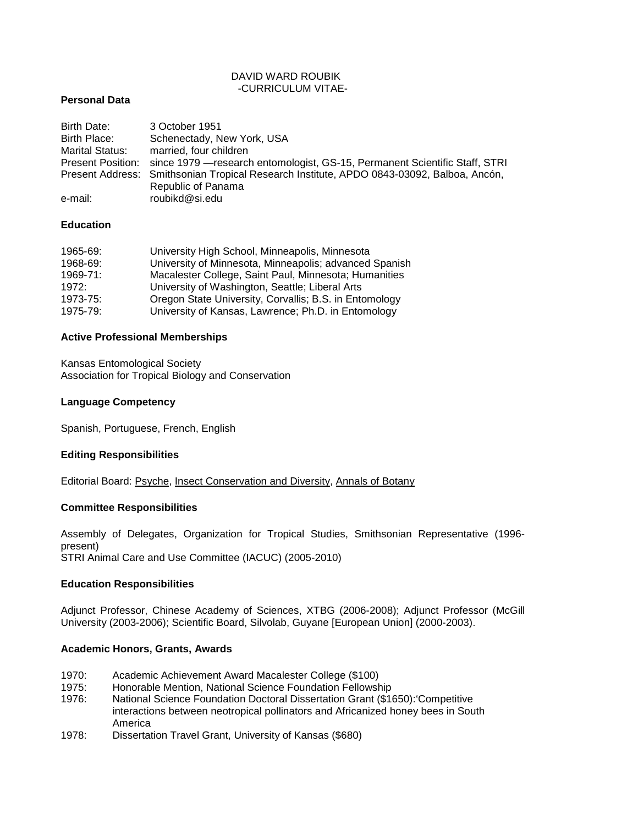### DAVID WARD ROUBIK -CURRICULUM VITAE-

### **Personal Data**

| Birth Date:            | 3 October 1951                                                                                |
|------------------------|-----------------------------------------------------------------------------------------------|
| Birth Place:           | Schenectady, New York, USA                                                                    |
| <b>Marital Status:</b> | married, four children                                                                        |
|                        | Present Position: since 1979 — research entomologist, GS-15, Permanent Scientific Staff, STRI |
|                        | Present Address: Smithsonian Tropical Research Institute, APDO 0843-03092, Balboa, Ancón,     |
|                        | Republic of Panama                                                                            |
| e-mail:                | roubikd@si.edu                                                                                |

### **Education**

| 1965-69: | University High School, Minneapolis, Minnesota         |
|----------|--------------------------------------------------------|
| 1968-69: | University of Minnesota, Minneapolis; advanced Spanish |
| 1969-71: | Macalester College, Saint Paul, Minnesota; Humanities  |
| 1972:    | University of Washington, Seattle; Liberal Arts        |
| 1973-75: | Oregon State University, Corvallis; B.S. in Entomology |
| 1975-79: | University of Kansas, Lawrence; Ph.D. in Entomology    |

### **Active Professional Memberships**

Kansas Entomological Society Association for Tropical Biology and Conservation

### **Language Competency**

Spanish, Portuguese, French, English

### **Editing Responsibilities**

Editorial Board: Psyche, Insect Conservation and Diversity, Annals of Botany

### **Committee Responsibilities**

Assembly of Delegates, Organization for Tropical Studies, Smithsonian Representative (1996 present) STRI Animal Care and Use Committee (IACUC) (2005-2010)

### **Education Responsibilities**

Adjunct Professor, Chinese Academy of Sciences, XTBG (2006-2008); Adjunct Professor (McGill University (2003-2006); Scientific Board, Silvolab, Guyane [European Union] (2000-2003).

### **Academic Honors, Grants, Awards**

- 1970: Academic Achievement Award Macalester College (\$100)
- Honorable Mention, National Science Foundation Fellowship
- 1976: National Science Foundation Doctoral Dissertation Grant (\$1650):'Competitive interactions between neotropical pollinators and Africanized honey bees in South America
- 1978: Dissertation Travel Grant, University of Kansas (\$680)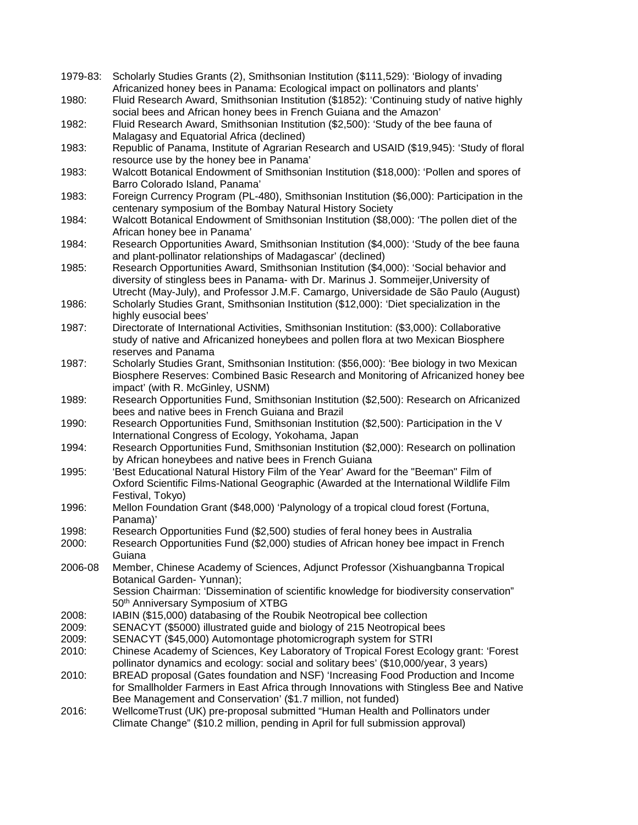| 1979-83: | Scholarly Studies Grants (2), Smithsonian Institution (\$111,529): 'Biology of invading<br>Africanized honey bees in Panama: Ecological impact on pollinators and plants'                                                                    |
|----------|----------------------------------------------------------------------------------------------------------------------------------------------------------------------------------------------------------------------------------------------|
| 1980:    | Fluid Research Award, Smithsonian Institution (\$1852): 'Continuing study of native highly<br>social bees and African honey bees in French Guiana and the Amazon'                                                                            |
| 1982:    | Fluid Research Award, Smithsonian Institution (\$2,500): 'Study of the bee fauna of<br>Malagasy and Equatorial Africa (declined)                                                                                                             |
| 1983:    | Republic of Panama, Institute of Agrarian Research and USAID (\$19,945): 'Study of floral<br>resource use by the honey bee in Panama'                                                                                                        |
| 1983:    | Walcott Botanical Endowment of Smithsonian Institution (\$18,000): 'Pollen and spores of<br>Barro Colorado Island, Panama'                                                                                                                   |
| 1983:    | Foreign Currency Program (PL-480), Smithsonian Institution (\$6,000): Participation in the<br>centenary symposium of the Bombay Natural History Society                                                                                      |
| 1984:    | Walcott Botanical Endowment of Smithsonian Institution (\$8,000): 'The pollen diet of the<br>African honey bee in Panama'                                                                                                                    |
| 1984:    | Research Opportunities Award, Smithsonian Institution (\$4,000): 'Study of the bee fauna<br>and plant-pollinator relationships of Madagascar' (declined)                                                                                     |
| 1985:    | Research Opportunities Award, Smithsonian Institution (\$4,000): 'Social behavior and<br>diversity of stingless bees in Panama- with Dr. Marinus J. Sommeijer, University of                                                                 |
| 1986:    | Utrecht (May-July), and Professor J.M.F. Camargo, Universidade de São Paulo (August)<br>Scholarly Studies Grant, Smithsonian Institution (\$12,000): 'Diet specialization in the<br>highly eusocial bees'                                    |
| 1987:    | Directorate of International Activities, Smithsonian Institution: (\$3,000): Collaborative<br>study of native and Africanized honeybees and pollen flora at two Mexican Biosphere<br>reserves and Panama                                     |
| 1987:    | Scholarly Studies Grant, Smithsonian Institution: (\$56,000): 'Bee biology in two Mexican<br>Biosphere Reserves: Combined Basic Research and Monitoring of Africanized honey bee                                                             |
| 1989:    | impact' (with R. McGinley, USNM)<br>Research Opportunities Fund, Smithsonian Institution (\$2,500): Research on Africanized<br>bees and native bees in French Guiana and Brazil                                                              |
| 1990:    | Research Opportunities Fund, Smithsonian Institution (\$2,500): Participation in the V<br>International Congress of Ecology, Yokohama, Japan                                                                                                 |
| 1994:    | Research Opportunities Fund, Smithsonian Institution (\$2,000): Research on pollination<br>by African honeybees and native bees in French Guiana                                                                                             |
| 1995:    | 'Best Educational Natural History Film of the Year' Award for the "Beeman" Film of<br>Oxford Scientific Films-National Geographic (Awarded at the International Wildlife Film<br>Festival, Tokyo)                                            |
| 1996:    | Mellon Foundation Grant (\$48,000) 'Palynology of a tropical cloud forest (Fortuna,<br>Panama)'                                                                                                                                              |
| 1998:    | Research Opportunities Fund (\$2,500) studies of feral honey bees in Australia                                                                                                                                                               |
| 2000:    | Research Opportunities Fund (\$2,000) studies of African honey bee impact in French<br>Guiana                                                                                                                                                |
| 2006-08  | Member, Chinese Academy of Sciences, Adjunct Professor (Xishuangbanna Tropical<br>Botanical Garden-Yunnan);<br>Session Chairman: 'Dissemination of scientific knowledge for biodiversity conservation"                                       |
|          | 50th Anniversary Symposium of XTBG                                                                                                                                                                                                           |
| 2008:    | IABIN (\$15,000) databasing of the Roubik Neotropical bee collection                                                                                                                                                                         |
| 2009:    | SENACYT (\$5000) illustrated guide and biology of 215 Neotropical bees                                                                                                                                                                       |
| 2009:    | SENACYT (\$45,000) Automontage photomicrograph system for STRI                                                                                                                                                                               |
| 2010:    | Chinese Academy of Sciences, Key Laboratory of Tropical Forest Ecology grant: 'Forest<br>pollinator dynamics and ecology: social and solitary bees' (\$10,000/year, 3 years)                                                                 |
| 2010:    | BREAD proposal (Gates foundation and NSF) 'Increasing Food Production and Income<br>for Smallholder Farmers in East Africa through Innovations with Stingless Bee and Native<br>Bee Management and Conservation' (\$1.7 million, not funded) |
| 2016:    | WellcomeTrust (UK) pre-proposal submitted "Human Health and Pollinators under<br>Climate Change" (\$10.2 million, pending in April for full submission approval)                                                                             |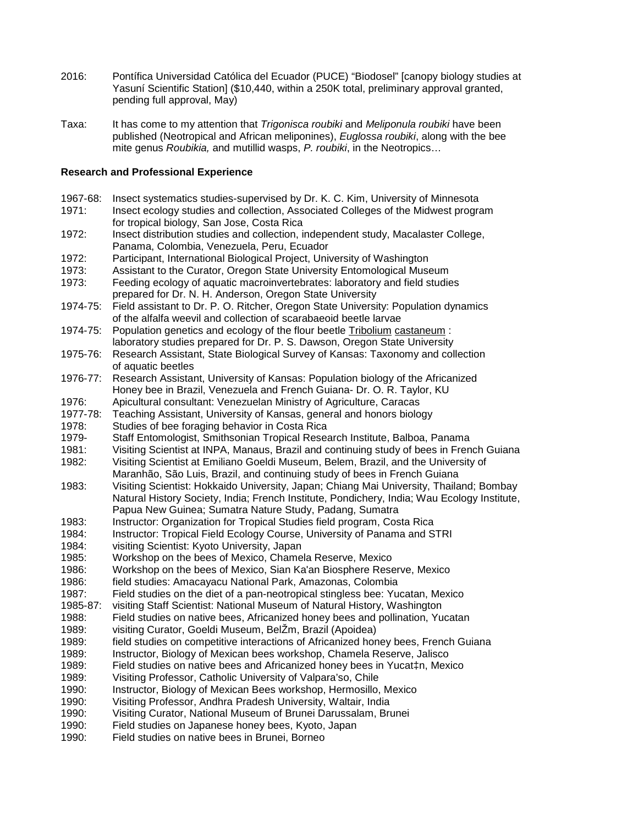- 2016: Pontífica Universidad Católica del Ecuador (PUCE) "Biodosel" [canopy biology studies at Yasuní Scientific Station] (\$10,440, within a 250K total, preliminary approval granted, pending full approval, May)
- Taxa: It has come to my attention that *Trigonisca roubiki* and *Meliponula roubiki* have been published (Neotropical and African meliponines), *Euglossa roubiki*, along with the bee mite genus *Roubikia,* and mutillid wasps, *P. roubiki*, in the Neotropics…

# **Research and Professional Experience**

| 1967-68: | Insect systematics studies-supervised by Dr. K. C. Kim, University of Minnesota             |
|----------|---------------------------------------------------------------------------------------------|
| 1971:    | Insect ecology studies and collection, Associated Colleges of the Midwest program           |
|          | for tropical biology, San Jose, Costa Rica                                                  |
| 1972:    | Insect distribution studies and collection, independent study, Macalaster College,          |
|          | Panama, Colombia, Venezuela, Peru, Ecuador                                                  |
| 1972:    | Participant, International Biological Project, University of Washington                     |
| 1973:    | Assistant to the Curator, Oregon State University Entomological Museum                      |
| 1973:    | Feeding ecology of aquatic macroinvertebrates: laboratory and field studies                 |
|          | prepared for Dr. N. H. Anderson, Oregon State University                                    |
| 1974-75: | Field assistant to Dr. P. O. Ritcher, Oregon State University: Population dynamics          |
|          | of the alfalfa weevil and collection of scarabaeoid beetle larvae                           |
| 1974-75: | Population genetics and ecology of the flour beetle Tribolium castaneum :                   |
|          | laboratory studies prepared for Dr. P. S. Dawson, Oregon State University                   |
| 1975-76: | Research Assistant, State Biological Survey of Kansas: Taxonomy and collection              |
|          | of aquatic beetles                                                                          |
| 1976-77: | Research Assistant, University of Kansas: Population biology of the Africanized             |
|          | Honey bee in Brazil, Venezuela and French Guiana- Dr. O. R. Taylor, KU                      |
| 1976:    | Apicultural consultant: Venezuelan Ministry of Agriculture, Caracas                         |
| 1977-78: | Teaching Assistant, University of Kansas, general and honors biology                        |
| 1978:    | Studies of bee foraging behavior in Costa Rica                                              |
| 1979-    | Staff Entomologist, Smithsonian Tropical Research Institute, Balboa, Panama                 |
| 1981:    | Visiting Scientist at INPA, Manaus, Brazil and continuing study of bees in French Guiana    |
| 1982:    | Visiting Scientist at Emiliano Goeldi Museum, Belem, Brazil, and the University of          |
|          | Maranhão, São Luis, Brazil, and continuing study of bees in French Guiana                   |
| 1983:    | Visiting Scientist: Hokkaido University, Japan; Chiang Mai University, Thailand; Bombay     |
|          | Natural History Society, India; French Institute, Pondichery, India; Wau Ecology Institute, |
|          | Papua New Guinea; Sumatra Nature Study, Padang, Sumatra                                     |
|          | Instructor: Organization for Tropical Studies field program, Costa Rica                     |
| 1983:    |                                                                                             |
| 1984:    | Instructor: Tropical Field Ecology Course, University of Panama and STRI                    |
| 1984:    | visiting Scientist: Kyoto University, Japan                                                 |
| 1985:    | Workshop on the bees of Mexico, Chamela Reserve, Mexico                                     |
| 1986:    | Workshop on the bees of Mexico, Sian Ka'an Biosphere Reserve, Mexico                        |
| 1986:    | field studies: Amacayacu National Park, Amazonas, Colombia                                  |
| 1987:    | Field studies on the diet of a pan-neotropical stingless bee: Yucatan, Mexico               |
| 1985-87: | visiting Staff Scientist: National Museum of Natural History, Washington                    |
| 1988:    | Field studies on native bees, Africanized honey bees and pollination, Yucatan               |
| 1989:    | visiting Curator, Goeldi Museum, BelŽm, Brazil (Apoidea)                                    |
| 1989:    | field studies on competitive interactions of Africanized honey bees, French Guiana          |
| 1989:    | Instructor, Biology of Mexican bees workshop, Chamela Reserve, Jalisco                      |
| 1989:    | Field studies on native bees and Africanized honey bees in Yucat‡n, Mexico                  |
| 1989:    | Visiting Professor, Catholic University of Valpara'so, Chile                                |
| 1990:    | Instructor, Biology of Mexican Bees workshop, Hermosillo, Mexico                            |
| 1990:    | Visiting Professor, Andhra Pradesh University, Waltair, India                               |
| 1990:    | Visiting Curator, National Museum of Brunei Darussalam, Brunei                              |
| 1990:    | Field studies on Japanese honey bees, Kyoto, Japan                                          |
| 1990:    | Field studies on native bees in Brunei, Borneo                                              |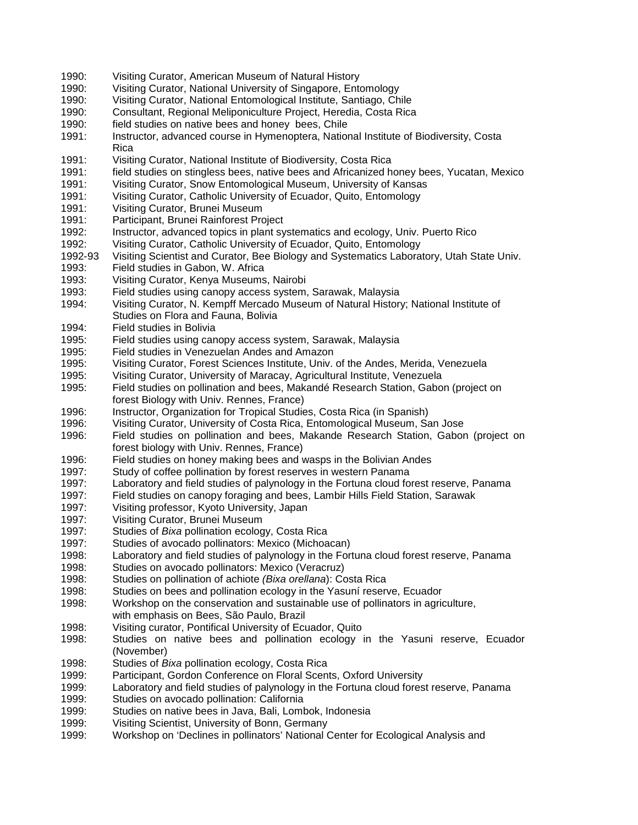- 1990: Visiting Curator, American Museum of Natural History
- 1990: Visiting Curator, National University of Singapore, Entomology
- 1990: Visiting Curator, National Entomological Institute, Santiago, Chile<br>1990: Consultant Regional Meliponiculture Project Heredia Costa Rica
- 1990: Consultant, Regional Meliponiculture Project, Heredia, Costa Rica
- 1990: field studies on native bees and honey bees, Chile
- 1991: Instructor, advanced course in Hymenoptera, National Institute of Biodiversity, Costa Rica
- 1991: Visiting Curator, National Institute of Biodiversity, Costa Rica<br>1991: field studies on stingless bees, native bees and Africanized h
- field studies on stingless bees, native bees and Africanized honey bees, Yucatan, Mexico
- 1991: Visiting Curator, Snow Entomological Museum, University of Kansas
- 1991: Visiting Curator, Catholic University of Ecuador, Quito, Entomology
- 1991: Visiting Curator, Brunei Museum
- 1991: Participant, Brunei Rainforest Project
- 1992: Instructor, advanced topics in plant systematics and ecology, Univ. Puerto Rico
- 1992: Visiting Curator, Catholic University of Ecuador, Quito, Entomology
- 1992-93 Visiting Scientist and Curator, Bee Biology and Systematics Laboratory, Utah State Univ.
- 1993: Field studies in Gabon, W. Africa
- 1993: Visiting Curator, Kenya Museums, Nairobi
- 1993: Field studies using canopy access system, Sarawak, Malaysia
- Visiting Curator, N. Kempff Mercado Museum of Natural History; National Institute of Studies on Flora and Fauna, Bolivia
- 1994: Field studies in Bolivia
- 1995: Field studies using canopy access system, Sarawak, Malaysia
- 1995: Field studies in Venezuelan Andes and Amazon
- Visiting Curator, Forest Sciences Institute, Univ. of the Andes, Merida, Venezuela
- 1995: Visiting Curator, University of Maracay, Agricultural Institute, Venezuela
- 1995: Field studies on pollination and bees, Makandé Research Station, Gabon (project on forest Biology with Univ. Rennes, France)
- 1996: Instructor, Organization for Tropical Studies, Costa Rica (in Spanish)
- 1996: Visiting Curator, University of Costa Rica, Entomological Museum, San Jose
- Field studies on pollination and bees, Makande Research Station, Gabon (project on forest biology with Univ. Rennes, France)
- 1996: Field studies on honey making bees and wasps in the Bolivian Andes<br>1997: Study of coffee pollination by forest reserves in western Panama
- Study of coffee pollination by forest reserves in western Panama
- 1997: Laboratory and field studies of palynology in the Fortuna cloud forest reserve, Panama
- 1997: Field studies on canopy foraging and bees, Lambir Hills Field Station, Sarawak<br>1997: Visiting professor, Kyoto University, Japan
- Visiting professor, Kyoto University, Japan
- 1997: Visiting Curator, Brunei Museum
- 1997: Studies of *Bixa* pollination ecology, Costa Rica
- Studies of avocado pollinators: Mexico (Michoacan)
- 1998: Laboratory and field studies of palynology in the Fortuna cloud forest reserve, Panama
- 1998: Studies on avocado pollinators: Mexico (Veracruz)<br>1998: Studies on pollination of achiote *(Bixa orellana*): Co
- Studies on pollination of achiote *(Bixa orellana)*: Costa Rica
- 1998: Studies on bees and pollination ecology in the Yasuní reserve, Ecuador
- 1998: Workshop on the conservation and sustainable use of pollinators in agriculture, with emphasis on Bees, São Paulo, Brazil
- 1998: Visiting curator, Pontifical University of Ecuador, Quito
- 1998: Studies on native bees and pollination ecology in the Yasuni reserve, Ecuador (November)
- 1998: Studies of *Bixa* pollination ecology, Costa Rica
- 1999: Participant, Gordon Conference on Floral Scents, Oxford University<br>1999: Laboratory and field studies of palynology in the Fortuna cloud fores
- Laboratory and field studies of palynology in the Fortuna cloud forest reserve, Panama
- 1999: Studies on avocado pollination: California
- Studies on native bees in Java, Bali, Lombok, Indonesia
- 1999: Visiting Scientist, University of Bonn, Germany
- 1999: Workshop on 'Declines in pollinators' National Center for Ecological Analysis and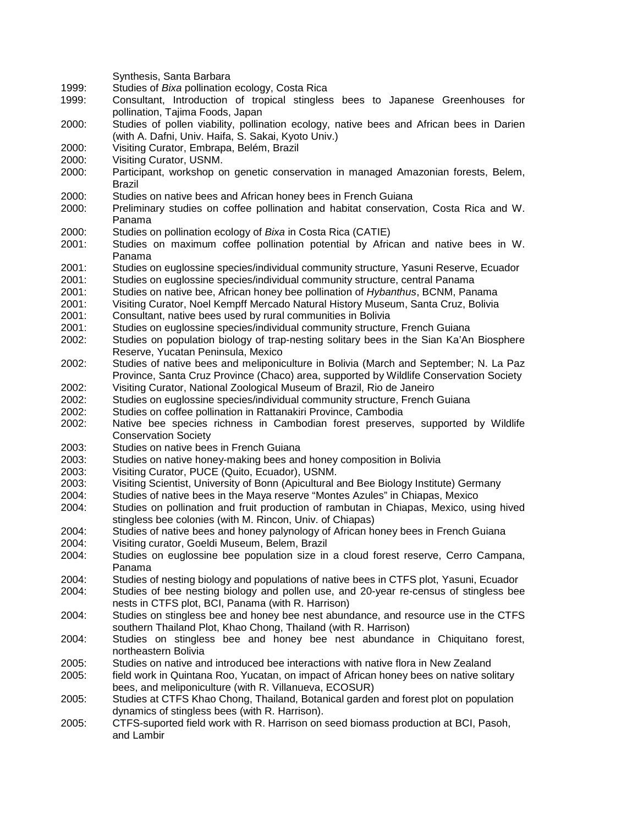| Consultant, Introduction of tropical stingless bees to Japanese Greenhouses for<br>pollination, Tajima Foods, Japan<br>Studies of pollen viability, pollination ecology, native bees and African bees in Darien<br>(with A. Dafni, Univ. Haifa, S. Sakai, Kyoto Univ.)<br>Visiting Curator, Embrapa, Belém, Brazil<br>Visiting Curator, USNM.<br>Participant, workshop on genetic conservation in managed Amazonian forests, Belem,<br><b>Brazil</b><br>Studies on native bees and African honey bees in French Guiana<br>Preliminary studies on coffee pollination and habitat conservation, Costa Rica and W.<br>Panama<br>Studies on pollination ecology of Bixa in Costa Rica (CATIE)<br>Studies on maximum coffee pollination potential by African and native bees in W.<br>Panama<br>Studies on euglossine species/individual community structure, Yasuni Reserve, Ecuador<br>Studies on euglossine species/individual community structure, central Panama<br>Studies on native bee, African honey bee pollination of Hybanthus, BCNM, Panama<br>Visiting Curator, Noel Kempff Mercado Natural History Museum, Santa Cruz, Bolivia<br>Consultant, native bees used by rural communities in Bolivia<br>Studies on euglossine species/individual community structure, French Guiana<br>Studies on population biology of trap-nesting solitary bees in the Sian Ka'An Biosphere<br>Reserve, Yucatan Peninsula, Mexico |
|--------------------------------------------------------------------------------------------------------------------------------------------------------------------------------------------------------------------------------------------------------------------------------------------------------------------------------------------------------------------------------------------------------------------------------------------------------------------------------------------------------------------------------------------------------------------------------------------------------------------------------------------------------------------------------------------------------------------------------------------------------------------------------------------------------------------------------------------------------------------------------------------------------------------------------------------------------------------------------------------------------------------------------------------------------------------------------------------------------------------------------------------------------------------------------------------------------------------------------------------------------------------------------------------------------------------------------------------------------------------------------------------------------------------------|
|                                                                                                                                                                                                                                                                                                                                                                                                                                                                                                                                                                                                                                                                                                                                                                                                                                                                                                                                                                                                                                                                                                                                                                                                                                                                                                                                                                                                                          |
|                                                                                                                                                                                                                                                                                                                                                                                                                                                                                                                                                                                                                                                                                                                                                                                                                                                                                                                                                                                                                                                                                                                                                                                                                                                                                                                                                                                                                          |
|                                                                                                                                                                                                                                                                                                                                                                                                                                                                                                                                                                                                                                                                                                                                                                                                                                                                                                                                                                                                                                                                                                                                                                                                                                                                                                                                                                                                                          |
|                                                                                                                                                                                                                                                                                                                                                                                                                                                                                                                                                                                                                                                                                                                                                                                                                                                                                                                                                                                                                                                                                                                                                                                                                                                                                                                                                                                                                          |
|                                                                                                                                                                                                                                                                                                                                                                                                                                                                                                                                                                                                                                                                                                                                                                                                                                                                                                                                                                                                                                                                                                                                                                                                                                                                                                                                                                                                                          |
|                                                                                                                                                                                                                                                                                                                                                                                                                                                                                                                                                                                                                                                                                                                                                                                                                                                                                                                                                                                                                                                                                                                                                                                                                                                                                                                                                                                                                          |
|                                                                                                                                                                                                                                                                                                                                                                                                                                                                                                                                                                                                                                                                                                                                                                                                                                                                                                                                                                                                                                                                                                                                                                                                                                                                                                                                                                                                                          |
|                                                                                                                                                                                                                                                                                                                                                                                                                                                                                                                                                                                                                                                                                                                                                                                                                                                                                                                                                                                                                                                                                                                                                                                                                                                                                                                                                                                                                          |
|                                                                                                                                                                                                                                                                                                                                                                                                                                                                                                                                                                                                                                                                                                                                                                                                                                                                                                                                                                                                                                                                                                                                                                                                                                                                                                                                                                                                                          |
|                                                                                                                                                                                                                                                                                                                                                                                                                                                                                                                                                                                                                                                                                                                                                                                                                                                                                                                                                                                                                                                                                                                                                                                                                                                                                                                                                                                                                          |
|                                                                                                                                                                                                                                                                                                                                                                                                                                                                                                                                                                                                                                                                                                                                                                                                                                                                                                                                                                                                                                                                                                                                                                                                                                                                                                                                                                                                                          |
|                                                                                                                                                                                                                                                                                                                                                                                                                                                                                                                                                                                                                                                                                                                                                                                                                                                                                                                                                                                                                                                                                                                                                                                                                                                                                                                                                                                                                          |
|                                                                                                                                                                                                                                                                                                                                                                                                                                                                                                                                                                                                                                                                                                                                                                                                                                                                                                                                                                                                                                                                                                                                                                                                                                                                                                                                                                                                                          |
|                                                                                                                                                                                                                                                                                                                                                                                                                                                                                                                                                                                                                                                                                                                                                                                                                                                                                                                                                                                                                                                                                                                                                                                                                                                                                                                                                                                                                          |
|                                                                                                                                                                                                                                                                                                                                                                                                                                                                                                                                                                                                                                                                                                                                                                                                                                                                                                                                                                                                                                                                                                                                                                                                                                                                                                                                                                                                                          |
|                                                                                                                                                                                                                                                                                                                                                                                                                                                                                                                                                                                                                                                                                                                                                                                                                                                                                                                                                                                                                                                                                                                                                                                                                                                                                                                                                                                                                          |
|                                                                                                                                                                                                                                                                                                                                                                                                                                                                                                                                                                                                                                                                                                                                                                                                                                                                                                                                                                                                                                                                                                                                                                                                                                                                                                                                                                                                                          |
|                                                                                                                                                                                                                                                                                                                                                                                                                                                                                                                                                                                                                                                                                                                                                                                                                                                                                                                                                                                                                                                                                                                                                                                                                                                                                                                                                                                                                          |
|                                                                                                                                                                                                                                                                                                                                                                                                                                                                                                                                                                                                                                                                                                                                                                                                                                                                                                                                                                                                                                                                                                                                                                                                                                                                                                                                                                                                                          |
|                                                                                                                                                                                                                                                                                                                                                                                                                                                                                                                                                                                                                                                                                                                                                                                                                                                                                                                                                                                                                                                                                                                                                                                                                                                                                                                                                                                                                          |
|                                                                                                                                                                                                                                                                                                                                                                                                                                                                                                                                                                                                                                                                                                                                                                                                                                                                                                                                                                                                                                                                                                                                                                                                                                                                                                                                                                                                                          |
|                                                                                                                                                                                                                                                                                                                                                                                                                                                                                                                                                                                                                                                                                                                                                                                                                                                                                                                                                                                                                                                                                                                                                                                                                                                                                                                                                                                                                          |
|                                                                                                                                                                                                                                                                                                                                                                                                                                                                                                                                                                                                                                                                                                                                                                                                                                                                                                                                                                                                                                                                                                                                                                                                                                                                                                                                                                                                                          |
|                                                                                                                                                                                                                                                                                                                                                                                                                                                                                                                                                                                                                                                                                                                                                                                                                                                                                                                                                                                                                                                                                                                                                                                                                                                                                                                                                                                                                          |
| Studies of native bees and meliponiculture in Bolivia (March and September; N. La Paz                                                                                                                                                                                                                                                                                                                                                                                                                                                                                                                                                                                                                                                                                                                                                                                                                                                                                                                                                                                                                                                                                                                                                                                                                                                                                                                                    |
| Province, Santa Cruz Province (Chaco) area, supported by Wildlife Conservation Society                                                                                                                                                                                                                                                                                                                                                                                                                                                                                                                                                                                                                                                                                                                                                                                                                                                                                                                                                                                                                                                                                                                                                                                                                                                                                                                                   |
| Visiting Curator, National Zoological Museum of Brazil, Rio de Janeiro                                                                                                                                                                                                                                                                                                                                                                                                                                                                                                                                                                                                                                                                                                                                                                                                                                                                                                                                                                                                                                                                                                                                                                                                                                                                                                                                                   |
|                                                                                                                                                                                                                                                                                                                                                                                                                                                                                                                                                                                                                                                                                                                                                                                                                                                                                                                                                                                                                                                                                                                                                                                                                                                                                                                                                                                                                          |
|                                                                                                                                                                                                                                                                                                                                                                                                                                                                                                                                                                                                                                                                                                                                                                                                                                                                                                                                                                                                                                                                                                                                                                                                                                                                                                                                                                                                                          |
| Studies on euglossine species/individual community structure, French Guiana                                                                                                                                                                                                                                                                                                                                                                                                                                                                                                                                                                                                                                                                                                                                                                                                                                                                                                                                                                                                                                                                                                                                                                                                                                                                                                                                              |
| Studies on coffee pollination in Rattanakiri Province, Cambodia                                                                                                                                                                                                                                                                                                                                                                                                                                                                                                                                                                                                                                                                                                                                                                                                                                                                                                                                                                                                                                                                                                                                                                                                                                                                                                                                                          |
| Native bee species richness in Cambodian forest preserves, supported by Wildlife                                                                                                                                                                                                                                                                                                                                                                                                                                                                                                                                                                                                                                                                                                                                                                                                                                                                                                                                                                                                                                                                                                                                                                                                                                                                                                                                         |
| <b>Conservation Society</b>                                                                                                                                                                                                                                                                                                                                                                                                                                                                                                                                                                                                                                                                                                                                                                                                                                                                                                                                                                                                                                                                                                                                                                                                                                                                                                                                                                                              |
| Studies on native bees in French Guiana                                                                                                                                                                                                                                                                                                                                                                                                                                                                                                                                                                                                                                                                                                                                                                                                                                                                                                                                                                                                                                                                                                                                                                                                                                                                                                                                                                                  |
| Studies on native honey-making bees and honey composition in Bolivia                                                                                                                                                                                                                                                                                                                                                                                                                                                                                                                                                                                                                                                                                                                                                                                                                                                                                                                                                                                                                                                                                                                                                                                                                                                                                                                                                     |
| Visiting Curator, PUCE (Quito, Ecuador), USNM.                                                                                                                                                                                                                                                                                                                                                                                                                                                                                                                                                                                                                                                                                                                                                                                                                                                                                                                                                                                                                                                                                                                                                                                                                                                                                                                                                                           |
| Visiting Scientist, University of Bonn (Apicultural and Bee Biology Institute) Germany                                                                                                                                                                                                                                                                                                                                                                                                                                                                                                                                                                                                                                                                                                                                                                                                                                                                                                                                                                                                                                                                                                                                                                                                                                                                                                                                   |
| Studies of native bees in the Maya reserve "Montes Azules" in Chiapas, Mexico                                                                                                                                                                                                                                                                                                                                                                                                                                                                                                                                                                                                                                                                                                                                                                                                                                                                                                                                                                                                                                                                                                                                                                                                                                                                                                                                            |
| Studies on pollination and fruit production of rambutan in Chiapas, Mexico, using hived                                                                                                                                                                                                                                                                                                                                                                                                                                                                                                                                                                                                                                                                                                                                                                                                                                                                                                                                                                                                                                                                                                                                                                                                                                                                                                                                  |
| stingless bee colonies (with M. Rincon, Univ. of Chiapas)                                                                                                                                                                                                                                                                                                                                                                                                                                                                                                                                                                                                                                                                                                                                                                                                                                                                                                                                                                                                                                                                                                                                                                                                                                                                                                                                                                |
| Studies of native bees and honey palynology of African honey bees in French Guiana                                                                                                                                                                                                                                                                                                                                                                                                                                                                                                                                                                                                                                                                                                                                                                                                                                                                                                                                                                                                                                                                                                                                                                                                                                                                                                                                       |
| Visiting curator, Goeldi Museum, Belem, Brazil                                                                                                                                                                                                                                                                                                                                                                                                                                                                                                                                                                                                                                                                                                                                                                                                                                                                                                                                                                                                                                                                                                                                                                                                                                                                                                                                                                           |
| Studies on euglossine bee population size in a cloud forest reserve, Cerro Campana,                                                                                                                                                                                                                                                                                                                                                                                                                                                                                                                                                                                                                                                                                                                                                                                                                                                                                                                                                                                                                                                                                                                                                                                                                                                                                                                                      |
| Panama                                                                                                                                                                                                                                                                                                                                                                                                                                                                                                                                                                                                                                                                                                                                                                                                                                                                                                                                                                                                                                                                                                                                                                                                                                                                                                                                                                                                                   |
| Studies of nesting biology and populations of native bees in CTFS plot, Yasuni, Ecuador                                                                                                                                                                                                                                                                                                                                                                                                                                                                                                                                                                                                                                                                                                                                                                                                                                                                                                                                                                                                                                                                                                                                                                                                                                                                                                                                  |
| Studies of bee nesting biology and pollen use, and 20-year re-census of stingless bee                                                                                                                                                                                                                                                                                                                                                                                                                                                                                                                                                                                                                                                                                                                                                                                                                                                                                                                                                                                                                                                                                                                                                                                                                                                                                                                                    |
| nests in CTFS plot, BCI, Panama (with R. Harrison)                                                                                                                                                                                                                                                                                                                                                                                                                                                                                                                                                                                                                                                                                                                                                                                                                                                                                                                                                                                                                                                                                                                                                                                                                                                                                                                                                                       |
| Studies on stingless bee and honey bee nest abundance, and resource use in the CTFS                                                                                                                                                                                                                                                                                                                                                                                                                                                                                                                                                                                                                                                                                                                                                                                                                                                                                                                                                                                                                                                                                                                                                                                                                                                                                                                                      |
| southern Thailand Plot, Khao Chong, Thailand (with R. Harrison)                                                                                                                                                                                                                                                                                                                                                                                                                                                                                                                                                                                                                                                                                                                                                                                                                                                                                                                                                                                                                                                                                                                                                                                                                                                                                                                                                          |
| Studies on stingless bee and honey bee nest abundance in Chiquitano forest,                                                                                                                                                                                                                                                                                                                                                                                                                                                                                                                                                                                                                                                                                                                                                                                                                                                                                                                                                                                                                                                                                                                                                                                                                                                                                                                                              |
| northeastern Bolivia                                                                                                                                                                                                                                                                                                                                                                                                                                                                                                                                                                                                                                                                                                                                                                                                                                                                                                                                                                                                                                                                                                                                                                                                                                                                                                                                                                                                     |
| Studies on native and introduced bee interactions with native flora in New Zealand                                                                                                                                                                                                                                                                                                                                                                                                                                                                                                                                                                                                                                                                                                                                                                                                                                                                                                                                                                                                                                                                                                                                                                                                                                                                                                                                       |
| field work in Quintana Roo, Yucatan, on impact of African honey bees on native solitary                                                                                                                                                                                                                                                                                                                                                                                                                                                                                                                                                                                                                                                                                                                                                                                                                                                                                                                                                                                                                                                                                                                                                                                                                                                                                                                                  |
| bees, and meliponiculture (with R. Villanueva, ECOSUR)                                                                                                                                                                                                                                                                                                                                                                                                                                                                                                                                                                                                                                                                                                                                                                                                                                                                                                                                                                                                                                                                                                                                                                                                                                                                                                                                                                   |
| Studies at CTFS Khao Chong, Thailand, Botanical garden and forest plot on population                                                                                                                                                                                                                                                                                                                                                                                                                                                                                                                                                                                                                                                                                                                                                                                                                                                                                                                                                                                                                                                                                                                                                                                                                                                                                                                                     |
| dynamics of stingless bees (with R. Harrison).                                                                                                                                                                                                                                                                                                                                                                                                                                                                                                                                                                                                                                                                                                                                                                                                                                                                                                                                                                                                                                                                                                                                                                                                                                                                                                                                                                           |
| CTFS-suported field work with R. Harrison on seed biomass production at BCI, Pasoh,                                                                                                                                                                                                                                                                                                                                                                                                                                                                                                                                                                                                                                                                                                                                                                                                                                                                                                                                                                                                                                                                                                                                                                                                                                                                                                                                      |
| and Lambir                                                                                                                                                                                                                                                                                                                                                                                                                                                                                                                                                                                                                                                                                                                                                                                                                                                                                                                                                                                                                                                                                                                                                                                                                                                                                                                                                                                                               |
|                                                                                                                                                                                                                                                                                                                                                                                                                                                                                                                                                                                                                                                                                                                                                                                                                                                                                                                                                                                                                                                                                                                                                                                                                                                                                                                                                                                                                          |
|                                                                                                                                                                                                                                                                                                                                                                                                                                                                                                                                                                                                                                                                                                                                                                                                                                                                                                                                                                                                                                                                                                                                                                                                                                                                                                                                                                                                                          |
|                                                                                                                                                                                                                                                                                                                                                                                                                                                                                                                                                                                                                                                                                                                                                                                                                                                                                                                                                                                                                                                                                                                                                                                                                                                                                                                                                                                                                          |
|                                                                                                                                                                                                                                                                                                                                                                                                                                                                                                                                                                                                                                                                                                                                                                                                                                                                                                                                                                                                                                                                                                                                                                                                                                                                                                                                                                                                                          |
|                                                                                                                                                                                                                                                                                                                                                                                                                                                                                                                                                                                                                                                                                                                                                                                                                                                                                                                                                                                                                                                                                                                                                                                                                                                                                                                                                                                                                          |
|                                                                                                                                                                                                                                                                                                                                                                                                                                                                                                                                                                                                                                                                                                                                                                                                                                                                                                                                                                                                                                                                                                                                                                                                                                                                                                                                                                                                                          |
|                                                                                                                                                                                                                                                                                                                                                                                                                                                                                                                                                                                                                                                                                                                                                                                                                                                                                                                                                                                                                                                                                                                                                                                                                                                                                                                                                                                                                          |
|                                                                                                                                                                                                                                                                                                                                                                                                                                                                                                                                                                                                                                                                                                                                                                                                                                                                                                                                                                                                                                                                                                                                                                                                                                                                                                                                                                                                                          |
|                                                                                                                                                                                                                                                                                                                                                                                                                                                                                                                                                                                                                                                                                                                                                                                                                                                                                                                                                                                                                                                                                                                                                                                                                                                                                                                                                                                                                          |
|                                                                                                                                                                                                                                                                                                                                                                                                                                                                                                                                                                                                                                                                                                                                                                                                                                                                                                                                                                                                                                                                                                                                                                                                                                                                                                                                                                                                                          |
|                                                                                                                                                                                                                                                                                                                                                                                                                                                                                                                                                                                                                                                                                                                                                                                                                                                                                                                                                                                                                                                                                                                                                                                                                                                                                                                                                                                                                          |
|                                                                                                                                                                                                                                                                                                                                                                                                                                                                                                                                                                                                                                                                                                                                                                                                                                                                                                                                                                                                                                                                                                                                                                                                                                                                                                                                                                                                                          |
|                                                                                                                                                                                                                                                                                                                                                                                                                                                                                                                                                                                                                                                                                                                                                                                                                                                                                                                                                                                                                                                                                                                                                                                                                                                                                                                                                                                                                          |
|                                                                                                                                                                                                                                                                                                                                                                                                                                                                                                                                                                                                                                                                                                                                                                                                                                                                                                                                                                                                                                                                                                                                                                                                                                                                                                                                                                                                                          |
|                                                                                                                                                                                                                                                                                                                                                                                                                                                                                                                                                                                                                                                                                                                                                                                                                                                                                                                                                                                                                                                                                                                                                                                                                                                                                                                                                                                                                          |
|                                                                                                                                                                                                                                                                                                                                                                                                                                                                                                                                                                                                                                                                                                                                                                                                                                                                                                                                                                                                                                                                                                                                                                                                                                                                                                                                                                                                                          |
|                                                                                                                                                                                                                                                                                                                                                                                                                                                                                                                                                                                                                                                                                                                                                                                                                                                                                                                                                                                                                                                                                                                                                                                                                                                                                                                                                                                                                          |
|                                                                                                                                                                                                                                                                                                                                                                                                                                                                                                                                                                                                                                                                                                                                                                                                                                                                                                                                                                                                                                                                                                                                                                                                                                                                                                                                                                                                                          |
|                                                                                                                                                                                                                                                                                                                                                                                                                                                                                                                                                                                                                                                                                                                                                                                                                                                                                                                                                                                                                                                                                                                                                                                                                                                                                                                                                                                                                          |
|                                                                                                                                                                                                                                                                                                                                                                                                                                                                                                                                                                                                                                                                                                                                                                                                                                                                                                                                                                                                                                                                                                                                                                                                                                                                                                                                                                                                                          |
|                                                                                                                                                                                                                                                                                                                                                                                                                                                                                                                                                                                                                                                                                                                                                                                                                                                                                                                                                                                                                                                                                                                                                                                                                                                                                                                                                                                                                          |
|                                                                                                                                                                                                                                                                                                                                                                                                                                                                                                                                                                                                                                                                                                                                                                                                                                                                                                                                                                                                                                                                                                                                                                                                                                                                                                                                                                                                                          |
|                                                                                                                                                                                                                                                                                                                                                                                                                                                                                                                                                                                                                                                                                                                                                                                                                                                                                                                                                                                                                                                                                                                                                                                                                                                                                                                                                                                                                          |
|                                                                                                                                                                                                                                                                                                                                                                                                                                                                                                                                                                                                                                                                                                                                                                                                                                                                                                                                                                                                                                                                                                                                                                                                                                                                                                                                                                                                                          |
|                                                                                                                                                                                                                                                                                                                                                                                                                                                                                                                                                                                                                                                                                                                                                                                                                                                                                                                                                                                                                                                                                                                                                                                                                                                                                                                                                                                                                          |
|                                                                                                                                                                                                                                                                                                                                                                                                                                                                                                                                                                                                                                                                                                                                                                                                                                                                                                                                                                                                                                                                                                                                                                                                                                                                                                                                                                                                                          |
|                                                                                                                                                                                                                                                                                                                                                                                                                                                                                                                                                                                                                                                                                                                                                                                                                                                                                                                                                                                                                                                                                                                                                                                                                                                                                                                                                                                                                          |
|                                                                                                                                                                                                                                                                                                                                                                                                                                                                                                                                                                                                                                                                                                                                                                                                                                                                                                                                                                                                                                                                                                                                                                                                                                                                                                                                                                                                                          |
|                                                                                                                                                                                                                                                                                                                                                                                                                                                                                                                                                                                                                                                                                                                                                                                                                                                                                                                                                                                                                                                                                                                                                                                                                                                                                                                                                                                                                          |
|                                                                                                                                                                                                                                                                                                                                                                                                                                                                                                                                                                                                                                                                                                                                                                                                                                                                                                                                                                                                                                                                                                                                                                                                                                                                                                                                                                                                                          |
|                                                                                                                                                                                                                                                                                                                                                                                                                                                                                                                                                                                                                                                                                                                                                                                                                                                                                                                                                                                                                                                                                                                                                                                                                                                                                                                                                                                                                          |
|                                                                                                                                                                                                                                                                                                                                                                                                                                                                                                                                                                                                                                                                                                                                                                                                                                                                                                                                                                                                                                                                                                                                                                                                                                                                                                                                                                                                                          |
|                                                                                                                                                                                                                                                                                                                                                                                                                                                                                                                                                                                                                                                                                                                                                                                                                                                                                                                                                                                                                                                                                                                                                                                                                                                                                                                                                                                                                          |
|                                                                                                                                                                                                                                                                                                                                                                                                                                                                                                                                                                                                                                                                                                                                                                                                                                                                                                                                                                                                                                                                                                                                                                                                                                                                                                                                                                                                                          |
|                                                                                                                                                                                                                                                                                                                                                                                                                                                                                                                                                                                                                                                                                                                                                                                                                                                                                                                                                                                                                                                                                                                                                                                                                                                                                                                                                                                                                          |
|                                                                                                                                                                                                                                                                                                                                                                                                                                                                                                                                                                                                                                                                                                                                                                                                                                                                                                                                                                                                                                                                                                                                                                                                                                                                                                                                                                                                                          |
|                                                                                                                                                                                                                                                                                                                                                                                                                                                                                                                                                                                                                                                                                                                                                                                                                                                                                                                                                                                                                                                                                                                                                                                                                                                                                                                                                                                                                          |
|                                                                                                                                                                                                                                                                                                                                                                                                                                                                                                                                                                                                                                                                                                                                                                                                                                                                                                                                                                                                                                                                                                                                                                                                                                                                                                                                                                                                                          |
|                                                                                                                                                                                                                                                                                                                                                                                                                                                                                                                                                                                                                                                                                                                                                                                                                                                                                                                                                                                                                                                                                                                                                                                                                                                                                                                                                                                                                          |
|                                                                                                                                                                                                                                                                                                                                                                                                                                                                                                                                                                                                                                                                                                                                                                                                                                                                                                                                                                                                                                                                                                                                                                                                                                                                                                                                                                                                                          |
|                                                                                                                                                                                                                                                                                                                                                                                                                                                                                                                                                                                                                                                                                                                                                                                                                                                                                                                                                                                                                                                                                                                                                                                                                                                                                                                                                                                                                          |
| Studies of Bixa pollination ecology, Costa Rica                                                                                                                                                                                                                                                                                                                                                                                                                                                                                                                                                                                                                                                                                                                                                                                                                                                                                                                                                                                                                                                                                                                                                                                                                                                                                                                                                                          |
|                                                                                                                                                                                                                                                                                                                                                                                                                                                                                                                                                                                                                                                                                                                                                                                                                                                                                                                                                                                                                                                                                                                                                                                                                                                                                                                                                                                                                          |
|                                                                                                                                                                                                                                                                                                                                                                                                                                                                                                                                                                                                                                                                                                                                                                                                                                                                                                                                                                                                                                                                                                                                                                                                                                                                                                                                                                                                                          |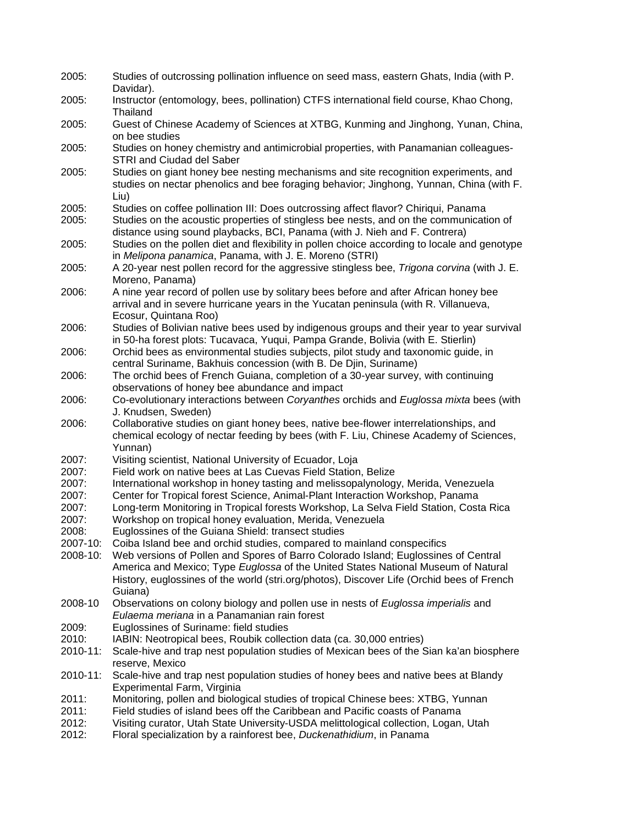2005: Studies of outcrossing pollination influence on seed mass, eastern Ghats, India (with P. Davidar). 2005: Instructor (entomology, bees, pollination) CTFS international field course, Khao Chong, **Thailand** 2005: Guest of Chinese Academy of Sciences at XTBG, Kunming and Jinghong, Yunan, China, on bee studies 2005: Studies on honey chemistry and antimicrobial properties, with Panamanian colleagues-STRI and Ciudad del Saber 2005: Studies on giant honey bee nesting mechanisms and site recognition experiments, and studies on nectar phenolics and bee foraging behavior; Jinghong, Yunnan, China (with F. Liu) 2005: Studies on coffee pollination III: Does outcrossing affect flavor? Chiriqui, Panama 2005: Studies on the acoustic properties of stingless bee nests, and on the communication of distance using sound playbacks, BCI, Panama (with J. Nieh and F. Contrera) 2005: Studies on the pollen diet and flexibility in pollen choice according to locale and genotype in *Melipona panamica*, Panama, with J. E. Moreno (STRI) 2005: A 20-year nest pollen record for the aggressive stingless bee, *Trigona corvina* (with J. E. Moreno, Panama) 2006: A nine year record of pollen use by solitary bees before and after African honey bee arrival and in severe hurricane years in the Yucatan peninsula (with R. Villanueva, Ecosur, Quintana Roo) 2006: Studies of Bolivian native bees used by indigenous groups and their year to year survival in 50-ha forest plots: Tucavaca, Yuqui, Pampa Grande, Bolivia (with E. Stierlin) 2006: Orchid bees as environmental studies subjects, pilot study and taxonomic guide, in central Suriname, Bakhuis concession (with B. De Djin, Suriname) 2006: The orchid bees of French Guiana, completion of a 30-year survey, with continuing observations of honey bee abundance and impact 2006: Co-evolutionary interactions between *Coryanthes* orchids and *Euglossa mixta* bees (with J. Knudsen, Sweden) 2006: Collaborative studies on giant honey bees, native bee-flower interrelationships, and chemical ecology of nectar feeding by bees (with F. Liu, Chinese Academy of Sciences, Yunnan) 2007: Visiting scientist, National University of Ecuador, Loja<br>2007: Field work on native bees at Las Cuevas Field Station Field work on native bees at Las Cuevas Field Station, Belize 2007: International workshop in honey tasting and melissopalynology, Merida, Venezuela 2007: Center for Tropical forest Science, Animal-Plant Interaction Workshop, Panama Long-term Monitoring in Tropical forests Workshop, La Selva Field Station, Costa Rica 2007: Workshop on tropical honey evaluation, Merida, Venezuela 2008: Euglossines of the Guiana Shield: transect studies Coiba Island bee and orchid studies, compared to mainland conspecifics 2008-10: Web versions of Pollen and Spores of Barro Colorado Island; Euglossines of Central America and Mexico; Type *Euglossa* of the United States National Museum of Natural History, euglossines of the world (stri.org/photos), Discover Life (Orchid bees of French Guiana) 2008-10 Observations on colony biology and pollen use in nests of *Euglossa imperialis* and *Eulaema meriana* in a Panamanian rain forest 2009: Euglossines of Suriname: field studies 2010: IABIN: Neotropical bees, Roubik collection data (ca. 30,000 entries) 2010-11: Scale-hive and trap nest population studies of Mexican bees of the Sian ka'an biosphere reserve, Mexico 2010-11: Scale-hive and trap nest population studies of honey bees and native bees at Blandy Experimental Farm, Virginia 2011: Monitoring, pollen and biological studies of tropical Chinese bees: XTBG, Yunnan 2011: Field studies of island bees off the Caribbean and Pacific coasts of Panama 2012: Visiting curator, Utah State University-USDA melittological collection, Logan, Utah<br>2012: Floral specialization by a rainforest bee. *Duckenathidium*. in Panama 2012: Floral specialization by a rainforest bee, *Duckenathidium*, in Panama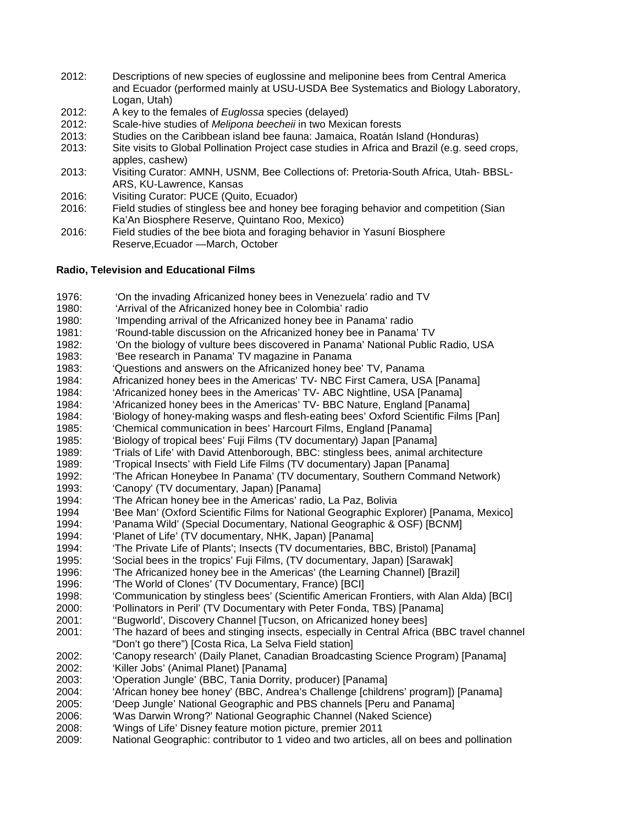- 2012: Descriptions of new species of euglossine and meliponine bees from Central America and Ecuador (performed mainly at USU-USDA Bee Systematics and Biology Laboratory, Logan, Utah)
- 2012: A key to the females of *Euglossa* species (delayed)
- 2012: Scale-hive studies of *Melipona beecheii* in two Mexican forests
- 2013: Studies on the Caribbean island bee fauna: Jamaica, Roatán Island (Honduras)
- Site visits to Global Pollination Project case studies in Africa and Brazil (e.g. seed crops, apples, cashew)
- 2013: Visiting Curator: AMNH, USNM, Bee Collections of: Pretoria-South Africa, Utah- BBSL-ARS, KU-Lawrence, Kansas
- 2016: Visiting Curator: PUCE (Quito, Ecuador)
- 2016: Field studies of stingless bee and honey bee foraging behavior and competition (Sian Ka'An Biosphere Reserve, Quintano Roo, Mexico)
- 2016: Field studies of the bee biota and foraging behavior in Yasuní Biosphere Reserve,Ecuador —March, October

### **Radio, Television and Educational Films**

1976: 'On the invading Africanized honey bees in Venezuela' radio and TV 1980: 'Arrival of the Africanized honey bee in Colombia' radio<br>1980: ''Impending arrival of the Africanized honey bee in Pana 'Impending arrival of the Africanized honey bee in Panama' radio 1981: 'Round-table discussion on the Africanized honey bee in Panama' TV 1982: 'On the biology of vulture bees discovered in Panama' National Public Radio, USA<br>1983: 'Bee research in Panama' TV magazine in Panama 'Bee research in Panama' TV magazine in Panama 1983: 'Questions and answers on the Africanized honey bee' TV, Panama 1984: Africanized honey bees in the Americas' TV- NBC First Camera, USA [Panama] 1984: 'Africanized honey bees in the Americas' TV- ABC Nightline, USA [Panama] 1984: 'Africanized honey bees in the Americas' TV- BBC Nature, England [Panama] 1984: 'Biology of honey-making wasps and flesh-eating bees' Oxford Scientific Films [Pan]<br>1985: 'Chemical communication in bees' Harcourt Films. England [Panama] 1985: 'Chemical communication in bees' Harcourt Films, England [Panama]<br>1985: 'Siology of tropical bees' Fuii Films (TV documentary) Japan [Panama 1985: 'Biology of tropical bees' Fuji Films (TV documentary) Japan [Panama]<br>1989: 'Trials of Life' with David Attenborough, BBC: stingless bees, animal are 'Trials of Life' with David Attenborough, BBC: stingless bees, animal architecture 1989: 'Tropical Insects' with Field Life Films (TV documentary) Japan [Panama] 'The African Honeybee In Panama' (TV documentary, Southern Command Network) 1993: 'Canopy' (TV documentary, Japan) [Panama] 1994: 'The African honey bee in the Americas' radio, La Paz, Bolivia 'Bee Man' (Oxford Scientific Films for National Geographic Explorer) [Panama, Mexico] 1994: 'Panama Wild' (Special Documentary, National Geographic & OSF) [BCNM] 1994: 'Planet of Life' (TV documentary, NHK, Japan) [Panama] 1994: 'The Private Life of Plants'; Insects (TV documentaries, BBC, Bristol) [Panama] 1995: 'Social bees in the tropics' Fuji Films, (TV documentary, Japan) [Sarawak]<br>1996: ''The Africanized honey bee in the Americas' (the Learning Channel) [Brazi 1996: 'The Africanized honey bee in the Americas' (the Learning Channel) [Brazil]<br>1996: 'The World of Clones' (TV Documentary, France) [BCI] 'The World of Clones' (TV Documentary, France) [BCI] 1998: 'Communication by stingless bees' (Scientific American Frontiers, with Alan Alda) [BCI] 2000: 'Pollinators in Peril' (TV Documentary with Peter Fonda, TBS) [Panama]<br>2001: ''Bugworld', Discovery Channel ITucson, on Africanized honey bees] "Bugworld', Discovery Channel [Tucson, on Africanized honey bees] 2001: 'The hazard of bees and stinging insects, especially in Central Africa (BBC travel channel "Don't go there") [Costa Rica, La Selva Field station] 2002: 'Canopy research' (Daily Planet, Canadian Broadcasting Science Program) [Panama] 2002: 'Killer Jobs' (Animal Planet) [Panama] 2003: 'Operation Jungle' (BBC, Tania Dorrity, producer) [Panama] 2004: 'African honey bee honey' (BBC, Andrea's Challenge [childrens' program]) [Panama] 2005: 'Deep Jungle' National Geographic and PBS channels [Peru and Panama]<br>2006: 'Was Darwin Wrong?' National Geographic Channel (Naked Science) 2006: 'Was Darwin Wrong?' National Geographic Channel (Naked Science)<br>2008: 'Wings of Life' Disney feature motion picture, premier 2011 'Wings of Life' Disney feature motion picture, premier 2011 2009: National Geographic: contributor to 1 video and two articles, all on bees and pollination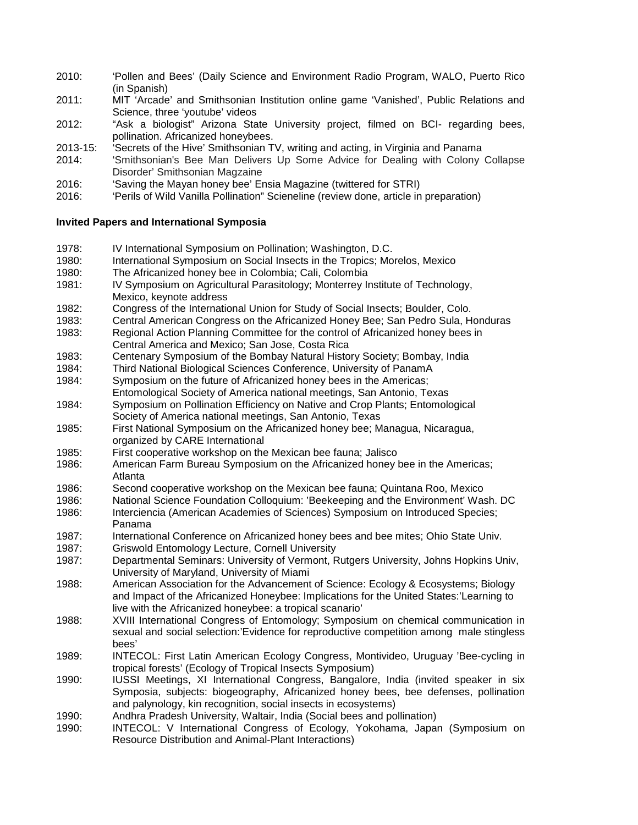- 2010: 'Pollen and Bees' (Daily Science and Environment Radio Program, WALO, Puerto Rico (in Spanish)
- 2011: MIT 'Arcade' and Smithsonian Institution online game 'Vanished', Public Relations and Science, three 'youtube' videos
- 2012: "Ask a biologist" Arizona State University project, filmed on BCI- regarding bees, pollination. Africanized honeybees.
- 2013-15: 'Secrets of the Hive' Smithsonian TV, writing and acting, in Virginia and Panama
- 2014: 'Smithsonian's Bee Man Delivers Up Some Advice for Dealing with Colony Collapse Disorder' Smithsonian Magzaine
- 2016: 'Saving the Mayan honey bee' Ensia Magazine (twittered for STRI)
- 2016: 'Perils of Wild Vanilla Pollination" Scieneline (review done, article in preparation)

### **Invited Papers and International Symposia**

- 1978: IV International Symposium on Pollination; Washington, D.C.
- International Symposium on Social Insects in the Tropics; Morelos, Mexico
- 1980: The Africanized honey bee in Colombia; Cali, Colombia
- IV Symposium on Agricultural Parasitology; Monterrey Institute of Technology, Mexico, keynote address
- 1982: Congress of the International Union for Study of Social Insects; Boulder, Colo.<br>1983: Central American Congress on the Africanized Honey Bee: San Pedro Sula. H
- Central American Congress on the Africanized Honey Bee; San Pedro Sula, Honduras
- 1983: Regional Action Planning Committee for the control of Africanized honey bees in Central America and Mexico; San Jose, Costa Rica<br>1983: Centenary Symposium of the Bombay Natural Histo
- Centenary Symposium of the Bombay Natural History Society; Bombay, India
- 1984: Third National Biological Sciences Conference, University of PanamA
- 1984: Symposium on the future of Africanized honey bees in the Americas; Entomological Society of America national meetings, San Antonio, Texas
- 1984: Symposium on Pollination Efficiency on Native and Crop Plants; Entomological Society of America national meetings, San Antonio, Texas
- 1985: First National Symposium on the Africanized honey bee; Managua, Nicaragua, organized by CARE International
- 1985: First cooperative workshop on the Mexican bee fauna; Jalisco
- 1986: American Farm Bureau Symposium on the Africanized honey bee in the Americas; Atlanta
- 1986: Second cooperative workshop on the Mexican bee fauna; Quintana Roo, Mexico
- 1986: Mational Science Foundation Colloquium: 'Beekeeping and the Environment' Wash. DC<br>1986: Interciencia (American Academies of Sciences) Symposium on Introduced Species:
- Interciencia (American Academies of Sciences) Symposium on Introduced Species; Panama
- 1987: International Conference on Africanized honey bees and bee mites; Ohio State Univ.<br>1987: Griswold Entomology Lecture, Cornell University
- Griswold Entomology Lecture, Cornell University
- 1987: Departmental Seminars: University of Vermont, Rutgers University, Johns Hopkins Univ, University of Maryland, University of Miami
- 1988: American Association for the Advancement of Science: Ecology & Ecosystems; Biology and Impact of the Africanized Honeybee: Implications for the United States:'Learning to live with the Africanized honeybee: a tropical scanario'
- 1988: XVIII International Congress of Entomology; Symposium on chemical communication in sexual and social selection:'Evidence for reproductive competition among male stingless bees'
- 1989: INTECOL: First Latin American Ecology Congress, Montivideo, Uruguay 'Bee-cycling in tropical forests' (Ecology of Tropical Insects Symposium)
- 1990: IUSSI Meetings, XI International Congress, Bangalore, India (invited speaker in six Symposia, subjects: biogeography, Africanized honey bees, bee defenses, pollination and palynology, kin recognition, social insects in ecosystems)
- 1990: Andhra Pradesh University, Waltair, India (Social bees and pollination)<br>1990: INTECOL: V International Congress of Ecology, Yokohama, Japar
- INTECOL: V International Congress of Ecology, Yokohama, Japan (Symposium on Resource Distribution and Animal-Plant Interactions)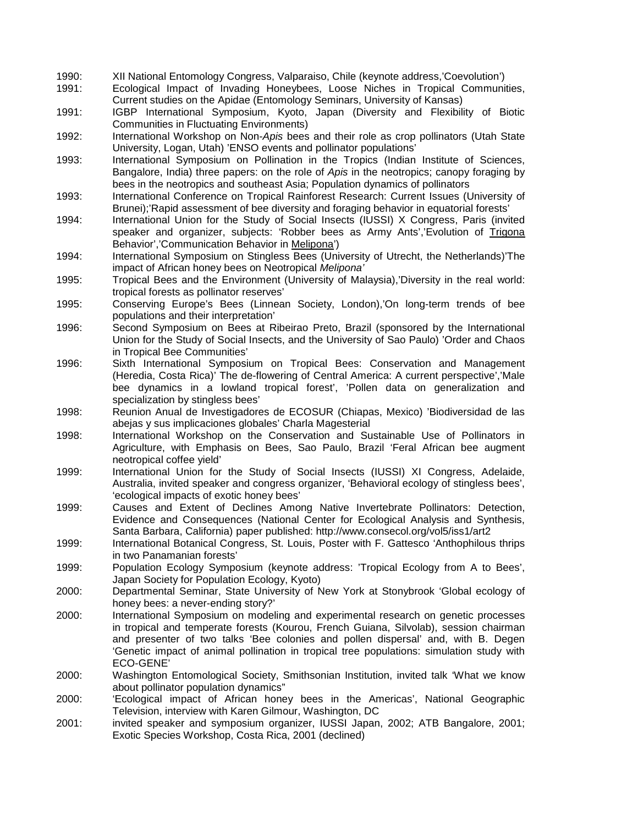- 1990: XII National Entomology Congress, Valparaiso, Chile (keynote address,'Coevolution')
- 1991: Ecological Impact of Invading Honeybees, Loose Niches in Tropical Communities, Current studies on the Apidae (Entomology Seminars, University of Kansas)
- 1991: IGBP International Symposium, Kyoto, Japan (Diversity and Flexibility of Biotic Communities in Fluctuating Environments)
- 1992: International Workshop on Non-*Apis* bees and their role as crop pollinators (Utah State University, Logan, Utah) 'ENSO events and pollinator populations'
- 1993: International Symposium on Pollination in the Tropics (Indian Institute of Sciences, Bangalore, India) three papers: on the role of *Apis* in the neotropics; canopy foraging by bees in the neotropics and southeast Asia; Population dynamics of pollinators
- 1993: International Conference on Tropical Rainforest Research: Current Issues (University of Brunei);'Rapid assessment of bee diversity and foraging behavior in equatorial forests'
- 1994: International Union for the Study of Social Insects (IUSSI) X Congress, Paris (invited speaker and organizer, subjects: 'Robber bees as Army Ants','Evolution of Trigona Behavior','Communication Behavior in Melipona')
- 1994: International Symposium on Stingless Bees (University of Utrecht, the Netherlands)'The impact of African honey bees on Neotropical *Melipona'*
- 1995: Tropical Bees and the Environment (University of Malaysia),'Diversity in the real world: tropical forests as pollinator reserves'
- 1995: Conserving Europe's Bees (Linnean Society, London),'On long-term trends of bee populations and their interpretation'
- 1996: Second Symposium on Bees at Ribeirao Preto, Brazil (sponsored by the International Union for the Study of Social Insects, and the University of Sao Paulo) 'Order and Chaos in Tropical Bee Communities'
- 1996: Sixth International Symposium on Tropical Bees: Conservation and Management (Heredia, Costa Rica)' The de-flowering of Central America: A current perspective','Male bee dynamics in a lowland tropical forest', 'Pollen data on generalization and specialization by stingless bees'
- 1998: Reunion Anual de Investigadores de ECOSUR (Chiapas, Mexico) 'Biodiversidad de las abejas y sus implicaciones globales' Charla Magesterial
- 1998: International Workshop on the Conservation and Sustainable Use of Pollinators in Agriculture, with Emphasis on Bees, Sao Paulo, Brazil 'Feral African bee augment neotropical coffee yield'
- 1999: International Union for the Study of Social Insects (IUSSI) XI Congress, Adelaide, Australia, invited speaker and congress organizer, 'Behavioral ecology of stingless bees', 'ecological impacts of exotic honey bees'
- 1999: Causes and Extent of Declines Among Native Invertebrate Pollinators: Detection, Evidence and Consequences (National Center for Ecological Analysis and Synthesis, Santa Barbara, California) paper published: http://www.consecol.org/vol5/iss1/art2
- 1999: International Botanical Congress, St. Louis, Poster with F. Gattesco 'Anthophilous thrips in two Panamanian forests'
- 1999: Population Ecology Symposium (keynote address: 'Tropical Ecology from A to Bees', Japan Society for Population Ecology, Kyoto)
- 2000: Departmental Seminar, State University of New York at Stonybrook 'Global ecology of honey bees: a never-ending story?'
- 2000: International Symposium on modeling and experimental research on genetic processes in tropical and temperate forests (Kourou, French Guiana, Silvolab), session chairman and presenter of two talks 'Bee colonies and pollen dispersal' and, with B. Degen 'Genetic impact of animal pollination in tropical tree populations: simulation study with ECO-GENE'
- 2000: Washington Entomological Society, Smithsonian Institution, invited talk 'What we know about pollinator population dynamics"
- 2000: 'Ecological impact of African honey bees in the Americas', National Geographic Television, interview with Karen Gilmour, Washington, DC
- 2001: invited speaker and symposium organizer, IUSSI Japan, 2002; ATB Bangalore, 2001; Exotic Species Workshop, Costa Rica, 2001 (declined)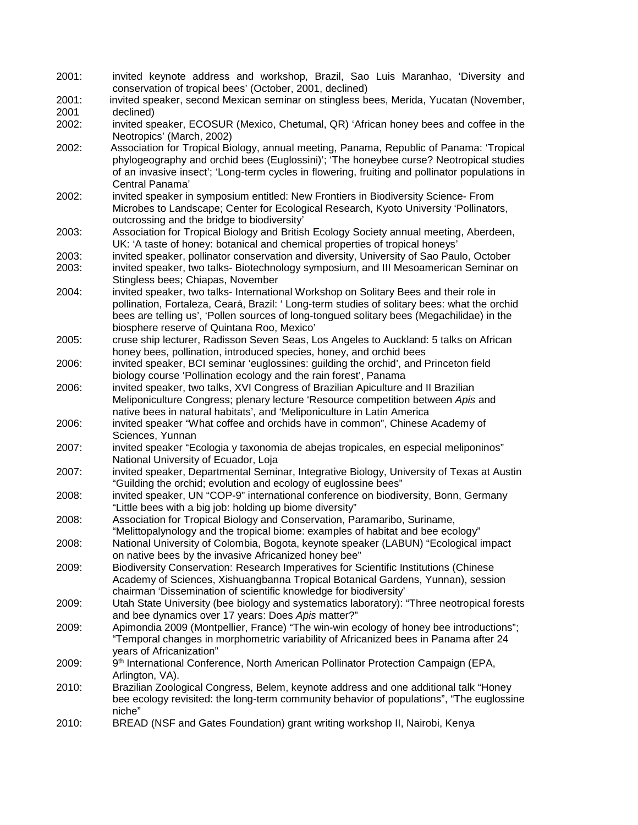- 2001: invited keynote address and workshop, Brazil, Sao Luis Maranhao, 'Diversity and conservation of tropical bees' (October, 2001, declined)
- 2001: invited speaker, second Mexican seminar on stingless bees, Merida, Yucatan (November, 2001 declined)
- 2002: invited speaker, ECOSUR (Mexico, Chetumal, QR) 'African honey bees and coffee in the Neotropics' (March, 2002)
- 2002: Association for Tropical Biology, annual meeting, Panama, Republic of Panama: 'Tropical phylogeography and orchid bees (Euglossini)'; 'The honeybee curse? Neotropical studies of an invasive insect'; 'Long-term cycles in flowering, fruiting and pollinator populations in Central Panama'
- 2002: invited speaker in symposium entitled: New Frontiers in Biodiversity Science- From Microbes to Landscape; Center for Ecological Research, Kyoto University 'Pollinators, outcrossing and the bridge to biodiversity'
- 2003: Association for Tropical Biology and British Ecology Society annual meeting, Aberdeen, UK: 'A taste of honey: botanical and chemical properties of tropical honeys'
- 2003: invited speaker, pollinator conservation and diversity, University of Sao Paulo, October
- 2003: invited speaker, two talks- Biotechnology symposium, and III Mesoamerican Seminar on Stingless bees; Chiapas, November
- 2004: invited speaker, two talks- International Workshop on Solitary Bees and their role in pollination, Fortaleza, Ceará, Brazil: ' Long-term studies of solitary bees: what the orchid bees are telling us', 'Pollen sources of long-tongued solitary bees (Megachilidae) in the biosphere reserve of Quintana Roo, Mexico'
- 2005: cruse ship lecturer, Radisson Seven Seas, Los Angeles to Auckland: 5 talks on African honey bees, pollination, introduced species, honey, and orchid bees
- 2006: invited speaker, BCI seminar 'euglossines: guilding the orchid', and Princeton field biology course 'Pollination ecology and the rain forest', Panama
- 2006: invited speaker, two talks, XVI Congress of Brazilian Apiculture and II Brazilian Meliponiculture Congress; plenary lecture 'Resource competition between *Apis* and native bees in natural habitats', and 'Meliponiculture in Latin America
- 2006: invited speaker "What coffee and orchids have in common", Chinese Academy of Sciences, Yunnan
- 2007: invited speaker "Ecologia y taxonomia de abejas tropicales, en especial meliponinos" National University of Ecuador, Loja
- 2007: invited speaker, Departmental Seminar, Integrative Biology, University of Texas at Austin "Guilding the orchid; evolution and ecology of euglossine bees"
- 2008: invited speaker, UN "COP-9" international conference on biodiversity, Bonn, Germany "Little bees with a big job: holding up biome diversity"
- 2008: Association for Tropical Biology and Conservation, Paramaribo, Suriname, "Melittopalynology and the tropical biome: examples of habitat and bee ecology"
- 2008: National University of Colombia, Bogota, keynote speaker (LABUN) "Ecological impact on native bees by the invasive Africanized honey bee"
- 2009: Biodiversity Conservation: Research Imperatives for Scientific Institutions (Chinese Academy of Sciences, Xishuangbanna Tropical Botanical Gardens, Yunnan), session chairman 'Dissemination of scientific knowledge for biodiversity'
- 2009: Utah State University (bee biology and systematics laboratory): "Three neotropical forests and bee dynamics over 17 years: Does *Apis* matter?"
- 2009: Apimondia 2009 (Montpellier, France) "The win-win ecology of honey bee introductions"; "Temporal changes in morphometric variability of Africanized bees in Panama after 24 years of Africanization"
- 2009: 9th International Conference, North American Pollinator Protection Campaign (EPA, Arlington, VA).
- 2010: Brazilian Zoological Congress, Belem, keynote address and one additional talk "Honey bee ecology revisited: the long-term community behavior of populations", "The euglossine niche"
- 2010: BREAD (NSF and Gates Foundation) grant writing workshop II, Nairobi, Kenya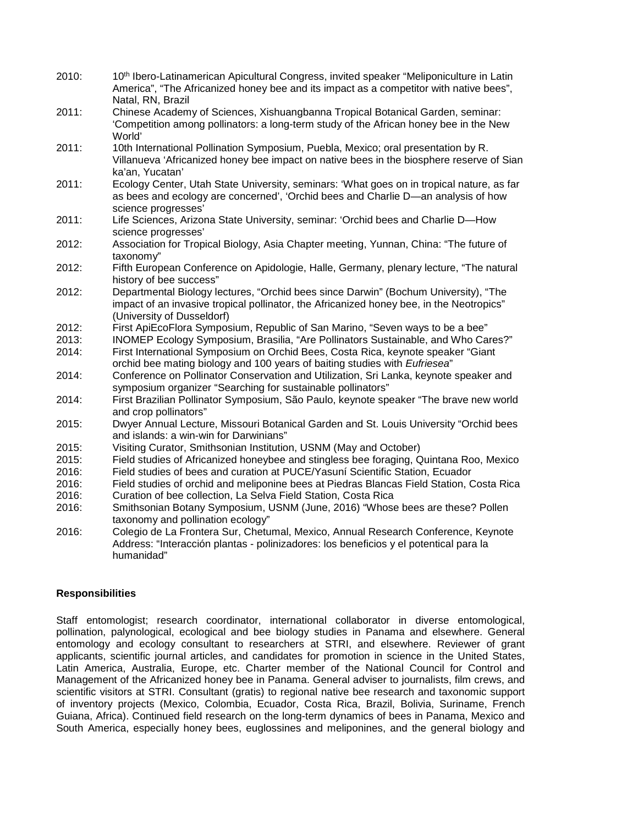| 2010: | 10 <sup>th</sup> Ibero-Latinamerican Apicultural Congress, invited speaker "Meliponiculture in Latin<br>America", "The Africanized honey bee and its impact as a competitor with native bees",                |
|-------|---------------------------------------------------------------------------------------------------------------------------------------------------------------------------------------------------------------|
|       | Natal, RN, Brazil                                                                                                                                                                                             |
| 2011: | Chinese Academy of Sciences, Xishuangbanna Tropical Botanical Garden, seminar:<br>'Competition among pollinators: a long-term study of the African honey bee in the New<br>World'                             |
| 2011: | 10th International Pollination Symposium, Puebla, Mexico; oral presentation by R.<br>Villanueva 'Africanized honey bee impact on native bees in the biosphere reserve of Sian<br>ka'an, Yucatan'              |
| 2011: | Ecology Center, Utah State University, seminars: 'What goes on in tropical nature, as far<br>as bees and ecology are concerned', 'Orchid bees and Charlie D—an analysis of how<br>science progresses'         |
| 2011: | Life Sciences, Arizona State University, seminar: 'Orchid bees and Charlie D-How<br>science progresses'                                                                                                       |
| 2012: | Association for Tropical Biology, Asia Chapter meeting, Yunnan, China: "The future of<br>taxonomy"                                                                                                            |
| 2012: | Fifth European Conference on Apidologie, Halle, Germany, plenary lecture, "The natural<br>history of bee success"                                                                                             |
| 2012: | Departmental Biology lectures, "Orchid bees since Darwin" (Bochum University), "The<br>impact of an invasive tropical pollinator, the Africanized honey bee, in the Neotropics"<br>(University of Dusseldorf) |
| 2012: | First ApiEcoFlora Symposium, Republic of San Marino, "Seven ways to be a bee"                                                                                                                                 |
| 2013: | INOMEP Ecology Symposium, Brasilia, "Are Pollinators Sustainable, and Who Cares?"                                                                                                                             |
| 2014: | First International Symposium on Orchid Bees, Costa Rica, keynote speaker "Giant<br>orchid bee mating biology and 100 years of baiting studies with Eufriesea"                                                |
| 2014: | Conference on Pollinator Conservation and Utilization, Sri Lanka, keynote speaker and<br>symposium organizer "Searching for sustainable pollinators"                                                          |
| 2014: | First Brazilian Pollinator Symposium, São Paulo, keynote speaker "The brave new world<br>and crop pollinators"                                                                                                |
| 2015: | Dwyer Annual Lecture, Missouri Botanical Garden and St. Louis University "Orchid bees<br>and islands: a win-win for Darwinians"                                                                               |
| 2015: | Visiting Curator, Smithsonian Institution, USNM (May and October)                                                                                                                                             |
| 2015: | Field studies of Africanized honeybee and stingless bee foraging, Quintana Roo, Mexico                                                                                                                        |
| 2016: | Field studies of bees and curation at PUCE/Yasuní Scientific Station, Ecuador                                                                                                                                 |
| 2016: | Field studies of orchid and meliponine bees at Piedras Blancas Field Station, Costa Rica                                                                                                                      |
| 2016: | Curation of bee collection, La Selva Field Station, Costa Rica                                                                                                                                                |
| 2016: | Smithsonian Botany Symposium, USNM (June, 2016) "Whose bees are these? Pollen<br>taxonomy and pollination ecology"                                                                                            |
| 2016: | Colegio de La Frontera Sur, Chetumal, Mexico, Annual Research Conference, Keynote<br>Address: "Interacción plantas - polinizadores: los beneficios y el potentical para la<br>humanidad"                      |

## **Responsibilities**

Staff entomologist; research coordinator, international collaborator in diverse entomological, pollination, palynological, ecological and bee biology studies in Panama and elsewhere. General entomology and ecology consultant to researchers at STRI, and elsewhere. Reviewer of grant applicants, scientific journal articles, and candidates for promotion in science in the United States, Latin America, Australia, Europe, etc. Charter member of the National Council for Control and Management of the Africanized honey bee in Panama. General adviser to journalists, film crews, and scientific visitors at STRI. Consultant (gratis) to regional native bee research and taxonomic support of inventory projects (Mexico, Colombia, Ecuador, Costa Rica, Brazil, Bolivia, Suriname, French Guiana, Africa). Continued field research on the long-term dynamics of bees in Panama, Mexico and South America, especially honey bees, euglossines and meliponines, and the general biology and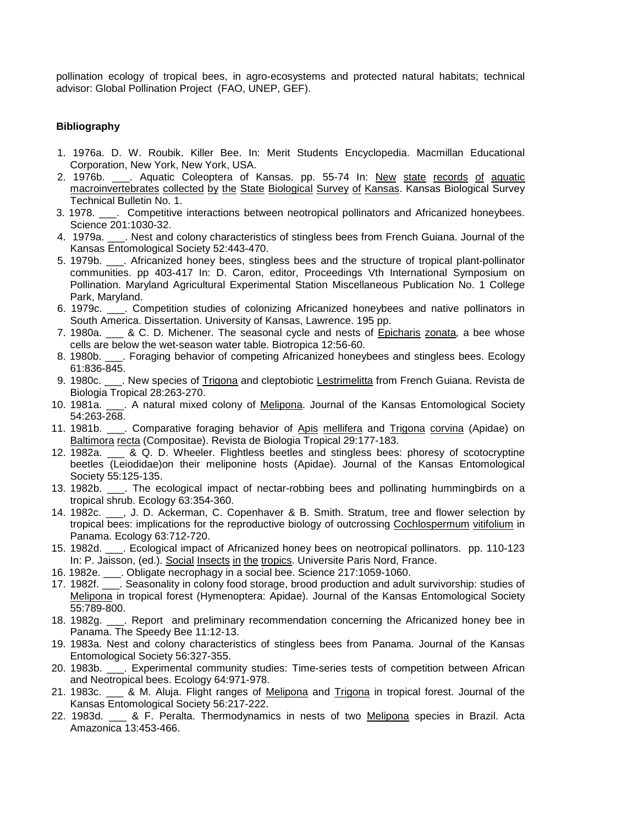pollination ecology of tropical bees, in agro-ecosystems and protected natural habitats; technical advisor: Global Pollination Project (FAO, UNEP, GEF).

## **Bibliography**

- 1. 1976a. D. W. Roubik. Killer Bee. In: Merit Students Encyclopedia. Macmillan Educational Corporation, New York, New York, USA.
- 2. 1976b. \_\_\_. Aquatic Coleoptera of Kansas. pp. 55-74 In: New state records of aquatic macroinvertebrates collected by the State Biological Survey of Kansas. Kansas Biological Survey Technical Bulletin No. 1.
- 3. 1978. \_\_\_. Competitive interactions between neotropical pollinators and Africanized honeybees. Science 201:1030-32.
- 4. 1979a. Nest and colony characteristics of stingless bees from French Guiana. Journal of the Kansas Entomological Society 52:443-470.
- 5. 1979b. \_\_\_. Africanized honey bees, stingless bees and the structure of tropical plant-pollinator communities. pp 403-417 In: D. Caron, editor, Proceedings Vth International Symposium on Pollination. Maryland Agricultural Experimental Station Miscellaneous Publication No. 1 College Park, Maryland.
- 6. 1979c. \_\_\_. Competition studies of colonizing Africanized honeybees and native pollinators in South America. Dissertation. University of Kansas, Lawrence. 195 pp.
- 7. 1980a. \_\_\_ & C. D. Michener. The seasonal cycle and nests of Epicharis zonata*,* a bee whose cells are below the wet-season water table. Biotropica 12:56-60.
- 8. 1980b. \_\_\_. Foraging behavior of competing Africanized honeybees and stingless bees. Ecology 61:836-845.
- 9. 1980c. \_\_\_. New species of Trigona and cleptobiotic Lestrimelitta from French Guiana. Revista de Biologia Tropical 28:263-270.
- 10. 1981a. \_\_\_. A natural mixed colony of Melipona. Journal of the Kansas Entomological Society 54:263-268.
- 11. 1981b. Comparative foraging behavior of Apis mellifera and Trigona corvina (Apidae) on Baltimora recta (Compositae). Revista de Biologia Tropical 29:177-183.
- 12. 1982a. \_\_\_ & Q. D. Wheeler. Flightless beetles and stingless bees: phoresy of scotocryptine beetles (Leiodidae)on their meliponine hosts (Apidae). Journal of the Kansas Entomological Society 55:125-135.
- 13. 1982b. The ecological impact of nectar-robbing bees and pollinating hummingbirds on a tropical shrub. Ecology 63:354-360.
- 14. 1982c. \_\_\_, J. D. Ackerman, C. Copenhaver & B. Smith. Stratum, tree and flower selection by tropical bees: implications for the reproductive biology of outcrossing Cochlospermum vitifolium in Panama. Ecology 63:712-720.
- 15. 1982d. \_\_\_. Ecological impact of Africanized honey bees on neotropical pollinators. pp. 110-123 In: P. Jaisson, (ed.). Social Insects in the tropics. Universite Paris Nord, France.
- 16. 1982e. \_\_\_. Obligate necrophagy in a social bee. Science 217:1059-1060.
- 17. 1982f. \_\_\_. Seasonality in colony food storage, brood production and adult survivorship: studies of Melipona in tropical forest (Hymenoptera: Apidae). Journal of the Kansas Entomological Society 55:789-800.
- 18. 1982g. \_\_\_. Report and preliminary recommendation concerning the Africanized honey bee in Panama. The Speedy Bee 11:12-13.
- 19. 1983a. Nest and colony characteristics of stingless bees from Panama. Journal of the Kansas Entomological Society 56:327-355.
- 20. 1983b. \_\_\_. Experimental community studies: Time-series tests of competition between African and Neotropical bees. Ecology 64:971-978.
- 21. 1983c. \_\_\_ & M. Aluja. Flight ranges of Melipona and Trigona in tropical forest. Journal of the Kansas Entomological Society 56:217-222.
- 22. 1983d. \_\_\_ & F. Peralta. Thermodynamics in nests of two Melipona species in Brazil. Acta Amazonica 13:453-466.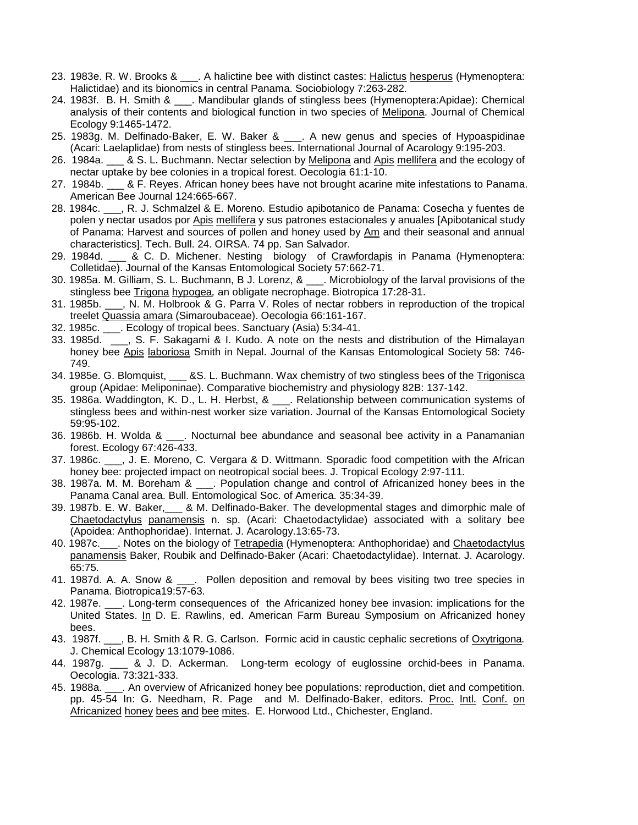- 23. 1983e. R. W. Brooks & \_\_\_. A halictine bee with distinct castes: Halictus hesperus (Hymenoptera: Halictidae) and its bionomics in central Panama. Sociobiology 7:263-282.
- 24. 1983f. B. H. Smith & \_\_\_. Mandibular glands of stingless bees (Hymenoptera:Apidae): Chemical analysis of their contents and biological function in two species of Melipona. Journal of Chemical Ecology 9:1465-1472.
- 25. 1983g. M. Delfinado-Baker, E. W. Baker & \_\_\_. A new genus and species of Hypoaspidinae (Acari: Laelaplidae) from nests of stingless bees. International Journal of Acarology 9:195-203.
- 26. 1984a. \_\_\_ & S. L. Buchmann. Nectar selection by Melipona and Apis mellifera and the ecology of nectar uptake by bee colonies in a tropical forest. Oecologia 61:1-10.
- 27. 1984b. \_\_\_ & F. Reyes. African honey bees have not brought acarine mite infestations to Panama. American Bee Journal 124:665-667.
- 28. 1984c. \_\_\_, R. J. Schmalzel & E. Moreno. Estudio apibotanico de Panama: Cosecha y fuentes de polen y nectar usados por Apis mellifera y sus patrones estacionales y anuales [Apibotanical study of Panama: Harvest and sources of pollen and honey used by Am and their seasonal and annual characteristics]. Tech. Bull. 24. OIRSA. 74 pp. San Salvador.
- 29. 1984d. \_\_\_ & C. D. Michener. Nesting biology of Crawfordapis in Panama (Hymenoptera: Colletidae). Journal of the Kansas Entomological Society 57:662-71.
- 30. 1985a. M. Gilliam, S. L. Buchmann, B J. Lorenz, & \_\_\_. Microbiology of the larval provisions of the stingless bee Trigona hypogea*,* an obligate necrophage. Biotropica 17:28-31.
- 31. 1985b. \_\_\_, N. M. Holbrook & G. Parra V. Roles of nectar robbers in reproduction of the tropical treelet Quassia amara (Simaroubaceae). Oecologia 66:161-167.
- 32. 1985c. \_\_\_. Ecology of tropical bees. Sanctuary (Asia) 5:34-41.
- 33. 1985d. \_\_\_, S. F. Sakagami & I. Kudo. A note on the nests and distribution of the Himalayan honey bee Apis laboriosa Smith in Nepal. Journal of the Kansas Entomological Society 58: 746- 749.
- 34. 1985e. G. Blomquist, \_\_\_ &S. L. Buchmann. Wax chemistry of two stingless bees of the Trigonisca group (Apidae: Meliponinae). Comparative biochemistry and physiology 82B: 137-142.
- 35. 1986a. Waddington, K. D., L. H. Herbst, & \_\_\_. Relationship between communication systems of stingless bees and within-nest worker size variation. Journal of the Kansas Entomological Society 59:95-102.
- 36. 1986b. H. Wolda & \_\_\_. Nocturnal bee abundance and seasonal bee activity in a Panamanian forest. Ecology 67:426-433.
- 37. 1986c. \_\_\_, J. E. Moreno, C. Vergara & D. Wittmann. Sporadic food competition with the African honey bee: projected impact on neotropical social bees. J. Tropical Ecology 2:97-111.
- 38. 1987a. M. M. Boreham & \_\_\_. Population change and control of Africanized honey bees in the Panama Canal area. Bull. Entomological Soc. of America. 35:34-39.
- 39. 1987b. E. W. Baker,\_\_\_ & M. Delfinado-Baker. The developmental stages and dimorphic male of Chaetodactylus panamensis n. sp. (Acari: Chaetodactylidae) associated with a solitary bee (Apoidea: Anthophoridae). Internat. J. Acarology.13:65-73.
- 40. 1987c.\_\_\_\_. Notes on the biology of Tetrapedia (Hymenoptera: Anthophoridae) and Chaetodactylus panamensis Baker, Roubik and Delfinado-Baker (Acari: Chaetodactylidae). Internat. J. Acarology. 65:75.
- 41. 1987d. A. A. Snow & \_\_\_. Pollen deposition and removal by bees visiting two tree species in Panama. Biotropica19:57-63.
- 42. 1987e. Long-term consequences of the Africanized honey bee invasion: implications for the United States. In D. E. Rawlins, ed. American Farm Bureau Symposium on Africanized honey bees.
- 43. 1987f. \_\_\_, B. H. Smith & R. G. Carlson. Formic acid in caustic cephalic secretions of Oxytrigona*.* J. Chemical Ecology 13:1079-1086.
- 44. 1987g. \_\_\_ & J. D. Ackerman. Long-term ecology of euglossine orchid-bees in Panama. Oecologia. 73:321-333.
- 45. 1988a. \_\_\_. An overview of Africanized honey bee populations: reproduction, diet and competition. pp. 45-54 In: G. Needham, R. Page and M. Delfinado-Baker, editors. Proc. Intl. Conf. on Africanized honey bees and bee mites. E. Horwood Ltd., Chichester, England.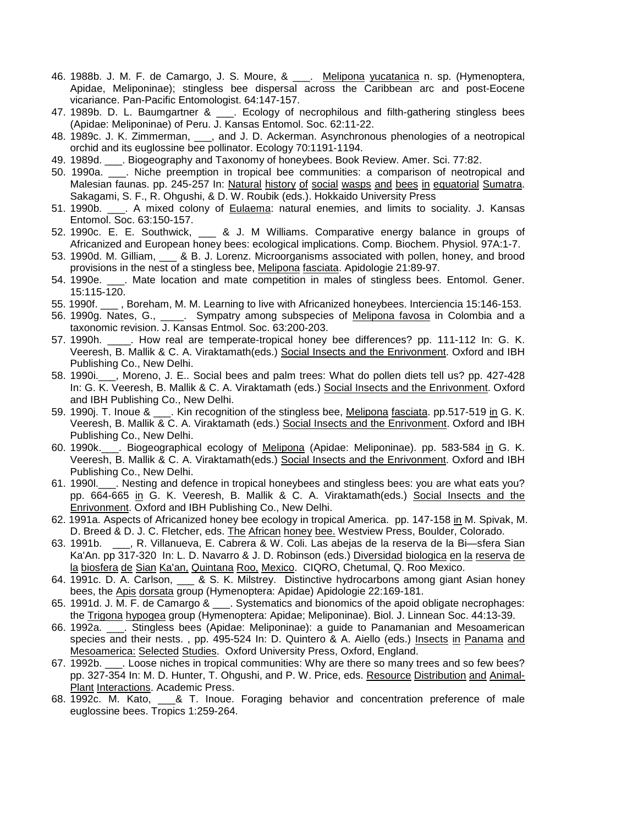- 46. 1988b. J. M. F. de Camargo, J. S. Moure, & \_\_\_. Melipona yucatanica n. sp. (Hymenoptera, Apidae, Meliponinae); stingless bee dispersal across the Caribbean arc and post-Eocene vicariance. Pan-Pacific Entomologist. 64:147-157.
- 47. 1989b. D. L. Baumgartner & \_\_\_. Ecology of necrophilous and filth-gathering stingless bees (Apidae: Meliponinae) of Peru. J. Kansas Entomol. Soc. 62:11-22.
- 48. 1989c. J. K. Zimmerman, <sub>\_\_\_</sub>, and J. D. Ackerman. Asynchronous phenologies of a neotropical orchid and its euglossine bee pollinator. Ecology 70:1191-1194.
- 49. 1989d. \_\_\_. Biogeography and Taxonomy of honeybees. Book Review. Amer. Sci. 77:82.
- 50. 1990a. \_\_\_. Niche preemption in tropical bee communities: a comparison of neotropical and Malesian faunas. pp. 245-257 In: Natural history of social wasps and bees in equatorial Sumatra. Sakagami, S. F., R. Ohgushi, & D. W. Roubik (eds.). Hokkaido University Press
- 51. 1990b. \_\_\_. A mixed colony of Eulaema: natural enemies, and limits to sociality. J. Kansas Entomol. Soc. 63:150-157.
- 52. 1990c. E. E. Southwick, \_\_\_ & J. M Williams. Comparative energy balance in groups of Africanized and European honey bees: ecological implications. Comp. Biochem. Physiol. 97A:1-7.
- 53. 1990d. M. Gilliam, \_\_\_ & B. J. Lorenz. Microorganisms associated with pollen, honey, and brood provisions in the nest of a stingless bee, Melipona fasciata. Apidologie 21:89-97.
- 54. 1990e. CMate location and mate competition in males of stingless bees. Entomol. Gener. 15:115-120.
- 55. 1990f. \_\_\_ , Boreham, M. M. Learning to live with Africanized honeybees. Interciencia 15:146-153.
- 56. 1990g. Nates, G., \_\_\_\_. Sympatry among subspecies of Melipona favosa in Colombia and a taxonomic revision. J. Kansas Entmol. Soc. 63:200-203.
- 57. 1990h. \_\_\_\_. How real are temperate-tropical honey bee differences? pp. 111-112 In: G. K. Veeresh, B. Mallik & C. A. Viraktamath(eds.) Social Insects and the Enrivonment. Oxford and IBH Publishing Co., New Delhi.
- 58. 1990i.\_\_\_, Moreno, J. E.. Social bees and palm trees: What do pollen diets tell us? pp. 427-428 In: G. K. Veeresh, B. Mallik & C. A. Viraktamath (eds.) Social Insects and the Enrivonment. Oxford and IBH Publishing Co., New Delhi.
- 59. 1990j. T. Inoue & \_\_\_. Kin recognition of the stingless bee, Melipona fasciata. pp.517-519 in G. K. Veeresh, B. Mallik & C. A. Viraktamath (eds.) Social Insects and the Enrivonment. Oxford and IBH Publishing Co., New Delhi.
- 60. 1990k.\_\_\_. Biogeographical ecology of Melipona (Apidae: Meliponinae). pp. 583-584 in G. K. Veeresh, B. Mallik & C. A. Viraktamath(eds.) Social Insects and the Enrivonment. Oxford and IBH Publishing Co., New Delhi.
- 61. 1990l. Besting and defence in tropical honeybees and stingless bees: you are what eats you? pp. 664-665 in G. K. Veeresh, B. Mallik & C. A. Viraktamath(eds.) Social Insects and the Enrivonment. Oxford and IBH Publishing Co., New Delhi.
- 62. 1991a. Aspects of Africanized honey bee ecology in tropical America. pp. 147-158 in M. Spivak, M. D. Breed & D. J. C. Fletcher, eds. The African honey bee. Westview Press, Boulder, Colorado.
- 63. 1991b. \_\_\_, R. Villanueva, E. Cabrera & W. Coli. Las abejas de la reserva de la Bi—sfera Sian Ka'An. pp 317-320 In: L. D. Navarro & J. D. Robinson (eds.) Diversidad biologica en la reserva de la biosfera de Sian Ka'an, Quintana Roo, Mexico. CIQRO, Chetumal, Q. Roo Mexico.
- 64. 1991c. D. A. Carlson, \_\_\_ & S. K. Milstrey. Distinctive hydrocarbons among giant Asian honey bees, the Apis dorsata group (Hymenoptera: Apidae) Apidologie 22:169-181.
- 65. 1991d. J. M. F. de Camargo & \_\_\_. Systematics and bionomics of the apoid obligate necrophages: the Trigona hypogea group (Hymenoptera: Apidae; Meliponinae). Biol. J. Linnean Soc. 44:13-39.
- 66. 1992a. \_\_\_. Stingless bees (Apidae: Meliponinae): a guide to Panamanian and Mesoamerican species and their nests. , pp. 495-524 In: D. Quintero & A. Aiello (eds.) Insects in Panama and Mesoamerica: Selected Studies. Oxford University Press, Oxford, England.
- 67. 1992b. \_\_\_. Loose niches in tropical communities: Why are there so many trees and so few bees? pp. 327-354 In: M. D. Hunter, T. Ohgushi, and P. W. Price, eds. Resource Distribution and Animal-Plant Interactions. Academic Press.
- 68. 1992c. M. Kato, \_\_\_& T. Inoue. Foraging behavior and concentration preference of male euglossine bees. Tropics 1:259-264.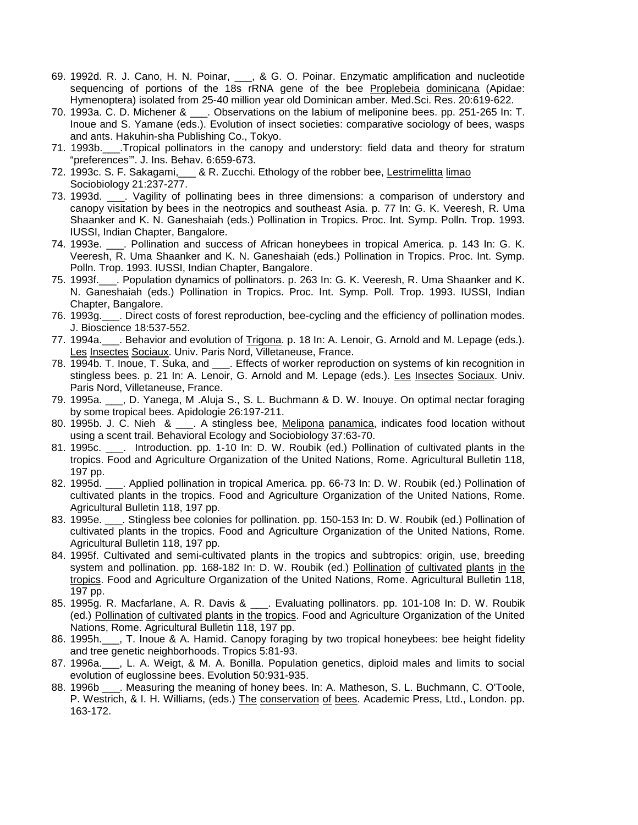- 69. 1992d. R. J. Cano, H. N. Poinar, \_\_\_, & G. O. Poinar. Enzymatic amplification and nucleotide sequencing of portions of the 18s rRNA gene of the bee Proplebeia dominicana (Apidae: Hymenoptera) isolated from 25-40 million year old Dominican amber. Med.Sci. Res. 20:619-622.
- 70. 1993a. C. D. Michener & \_\_\_. Observations on the labium of meliponine bees. pp. 251-265 In: T. Inoue and S. Yamane (eds.). Evolution of insect societies: comparative sociology of bees, wasps and ants. Hakuhin-sha Publishing Co., Tokyo.
- 71. 1993b.\_\_\_.Tropical pollinators in the canopy and understory: field data and theory for stratum "preferences'". J. Ins. Behav. 6:659-673.
- 72. 1993c. S. F. Sakagami, \_\_\_ & R. Zucchi. Ethology of the robber bee, Lestrimelitta limao Sociobiology 21:237-277.
- 73. 1993d. \_\_\_. Vagility of pollinating bees in three dimensions: a comparison of understory and canopy visitation by bees in the neotropics and southeast Asia. p. 77 In: G. K. Veeresh, R. Uma Shaanker and K. N. Ganeshaiah (eds.) Pollination in Tropics. Proc. Int. Symp. Polln. Trop. 1993. IUSSI, Indian Chapter, Bangalore.
- 74. 1993e. Dellination and success of African honeybees in tropical America. p. 143 In: G. K. Veeresh, R. Uma Shaanker and K. N. Ganeshaiah (eds.) Pollination in Tropics. Proc. Int. Symp. Polln. Trop. 1993. IUSSI, Indian Chapter, Bangalore.
- 75. 1993f.\_\_\_. Population dynamics of pollinators. p. 263 In: G. K. Veeresh, R. Uma Shaanker and K. N. Ganeshaiah (eds.) Pollination in Tropics. Proc. Int. Symp. Poll. Trop. 1993. IUSSI, Indian Chapter, Bangalore.
- 76. 1993g.\_\_\_. Direct costs of forest reproduction, bee-cycling and the efficiency of pollination modes. J. Bioscience 18:537-552.
- 77. 1994a. \_\_\_. Behavior and evolution of Trigona. p. 18 In: A. Lenoir, G. Arnold and M. Lepage (eds.). Les Insectes Sociaux. Univ. Paris Nord, Villetaneuse, France.
- 78. 1994b. T. Inoue, T. Suka, and \_\_\_. Effects of worker reproduction on systems of kin recognition in stingless bees. p. 21 In: A. Lenoir, G. Arnold and M. Lepage (eds.). Les Insectes Sociaux. Univ. Paris Nord, Villetaneuse, France.
- 79. 1995a. \_\_\_, D. Yanega, M .Aluja S., S. L. Buchmann & D. W. Inouye. On optimal nectar foraging by some tropical bees. Apidologie 26:197-211.
- 80. 1995b. J. C. Nieh & \_\_\_. A stingless bee, Melipona panamica, indicates food location without using a scent trail. Behavioral Ecology and Sociobiology 37:63-70.
- 81. 1995c. \_\_\_. Introduction. pp. 1-10 In: D. W. Roubik (ed.) Pollination of cultivated plants in the tropics. Food and Agriculture Organization of the United Nations, Rome. Agricultural Bulletin 118, 197 pp.
- 82. 1995d. Applied pollination in tropical America. pp. 66-73 In: D. W. Roubik (ed.) Pollination of cultivated plants in the tropics. Food and Agriculture Organization of the United Nations, Rome. Agricultural Bulletin 118, 197 pp.
- 83. 1995e. \_\_\_. Stingless bee colonies for pollination. pp. 150-153 In: D. W. Roubik (ed.) Pollination of cultivated plants in the tropics. Food and Agriculture Organization of the United Nations, Rome. Agricultural Bulletin 118, 197 pp.
- 84. 1995f. Cultivated and semi-cultivated plants in the tropics and subtropics: origin, use, breeding system and pollination. pp. 168-182 In: D. W. Roubik (ed.) Pollination of cultivated plants in the tropics. Food and Agriculture Organization of the United Nations, Rome. Agricultural Bulletin 118, 197 pp.
- 85. 1995g. R. Macfarlane, A. R. Davis & \_\_\_. Evaluating pollinators. pp. 101-108 In: D. W. Roubik (ed.) Pollination of cultivated plants in the tropics. Food and Agriculture Organization of the United Nations, Rome. Agricultural Bulletin 118, 197 pp.
- 86. 1995h. F. Inoue & A. Hamid. Canopy foraging by two tropical honeybees: bee height fidelity and tree genetic neighborhoods. Tropics 5:81-93.
- 87. 1996a.\_\_\_, L. A. Weigt, & M. A. Bonilla. Population genetics, diploid males and limits to social evolution of euglossine bees. Evolution 50:931-935.
- 88. 1996b . Measuring the meaning of honey bees. In: A. Matheson, S. L. Buchmann, C. O'Toole, P. Westrich, & I. H. Williams, (eds.) The conservation of bees. Academic Press, Ltd., London. pp. 163-172.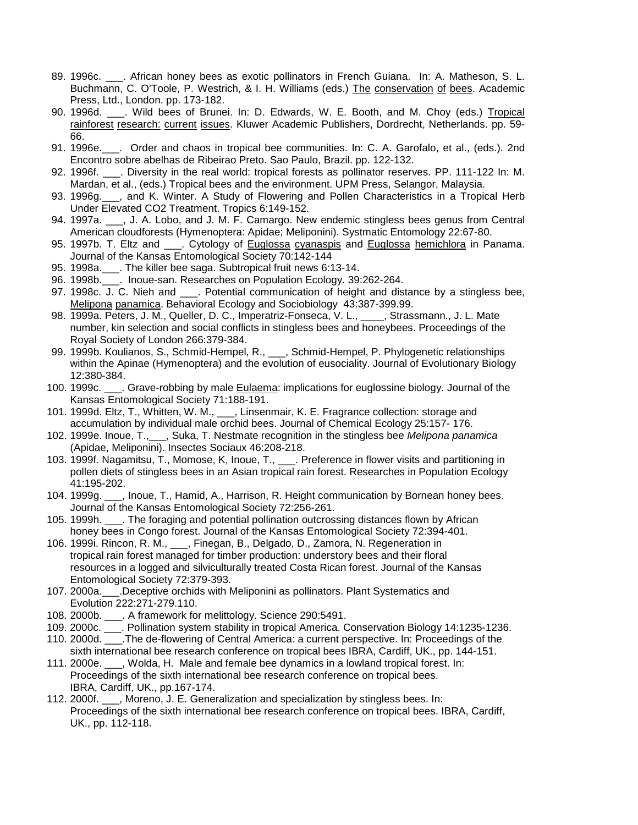- 89. 1996c. African honey bees as exotic pollinators in French Guiana. In: A. Matheson, S. L. Buchmann, C. O'Toole, P. Westrich, & I. H. Williams (eds.) The conservation of bees. Academic Press, Ltd., London. pp. 173-182.
- 90. 1996d. \_\_\_. Wild bees of Brunei. In: D. Edwards, W. E. Booth, and M. Choy (eds.) Tropical rainforest research: current issues. Kluwer Academic Publishers, Dordrecht, Netherlands. pp. 59- 66.
- 91. 1996e. Corder and chaos in tropical bee communities. In: C. A. Garofalo, et al., (eds.). 2nd Encontro sobre abelhas de Ribeirao Preto. Sao Paulo, Brazil. pp. 122-132.
- 92. 1996f. Diversity in the real world: tropical forests as pollinator reserves. PP. 111-122 In: M. Mardan, et al., (eds.) Tropical bees and the environment. UPM Press, Selangor, Malaysia.
- 93. 1996g.\_\_\_, and K. Winter. A Study of Flowering and Pollen Characteristics in a Tropical Herb Under Elevated CO2 Treatment. Tropics 6:149-152.
- 94. 1997a. \_\_\_, J. A. Lobo, and J. M. F. Camargo. New endemic stingless bees genus from Central American cloudforests (Hymenoptera: Apidae; Meliponini). Systmatic Entomology 22:67-80.
- 95. 1997b. T. Eltz and . Cytology of Euglossa cyanaspis and Euglossa hemichlora in Panama. Journal of the Kansas Entomological Society 70:142-144
- 95. 1998a.\_\_\_. The killer bee saga. Subtropical fruit news 6:13-14.
- 96. 1998b.\_\_\_. Inoue-san. Researches on Population Ecology. 39:262-264.
- 97. 1998c. J. C. Nieh and \_\_\_. Potential communication of height and distance by a stingless bee, Melipona panamica. Behavioral Ecology and Sociobiology 43:387-399.99.
- 98. 1999a. Peters, J. M., Queller, D. C., Imperatriz-Fonseca, V. L., \_\_\_\_, Strassmann., J. L. Mate number, kin selection and social conflicts in stingless bees and honeybees. Proceedings of the Royal Society of London 266:379-384.
- 99. 1999b. Koulianos, S., Schmid-Hempel, R., \_\_\_, Schmid-Hempel, P. Phylogenetic relationships within the Apinae (Hymenoptera) and the evolution of eusociality. Journal of Evolutionary Biology 12:380-384.
- 100. 1999c. \_\_\_\_. Grave-robbing by male **Eulaema:** implications for euglossine biology. Journal of the Kansas Entomological Society 71:188-191.
- 101. 1999d. Eltz, T., Whitten, W. M., \_\_\_, Linsenmair, K. E. Fragrance collection: storage and accumulation by individual male orchid bees. Journal of Chemical Ecology 25:157- 176.
- 102. 1999e. Inoue, T.,\_\_\_, Suka, T. Nestmate recognition in the stingless bee *Melipona panamica* (Apidae, Meliponini). Insectes Sociaux 46:208-218.
- 103. 1999f. Nagamitsu, T., Momose, K, Inoue, T., \_\_\_. Preference in flower visits and partitioning in pollen diets of stingless bees in an Asian tropical rain forest. Researches in Population Ecology 41:195-202.
- 104. 1999g. \_\_\_, Inoue, T., Hamid, A., Harrison, R. Height communication by Bornean honey bees. Journal of the Kansas Entomological Society 72:256-261.
- 105. 1999h. \_\_\_. The foraging and potential pollination outcrossing distances flown by African honey bees in Congo forest. Journal of the Kansas Entomological Society 72:394-401.
- 106. 1999i. Rincon, R. M., \_\_\_, Finegan, B., Delgado, D., Zamora, N. Regeneration in tropical rain forest managed for timber production: understory bees and their floral resources in a logged and silviculturally treated Costa Rican forest. Journal of the Kansas Entomological Society 72:379-393.
- 107. 2000a.\_\_\_.Deceptive orchids with Meliponini as pollinators. Plant Systematics and Evolution 222:271-279.110.
- 108. 2000b. \_\_\_. A framework for melittology. Science 290:5491.
- 109. 2000c. \_\_\_. Pollination system stability in tropical America. Conservation Biology 14:1235-1236.
- 110. 2000d. \_\_\_.The de-flowering of Central America: a current perspective. In: Proceedings of the sixth international bee research conference on tropical bees IBRA, Cardiff, UK., pp. 144-151.
- 111. 2000e. \_\_\_, Wolda, H. Male and female bee dynamics in a lowland tropical forest. In: Proceedings of the sixth international bee research conference on tropical bees. IBRA, Cardiff, UK., pp.167-174.
- 112. 2000f. \_\_\_, Moreno, J. E. Generalization and specialization by stingless bees. In: Proceedings of the sixth international bee research conference on tropical bees. IBRA, Cardiff, UK., pp. 112-118.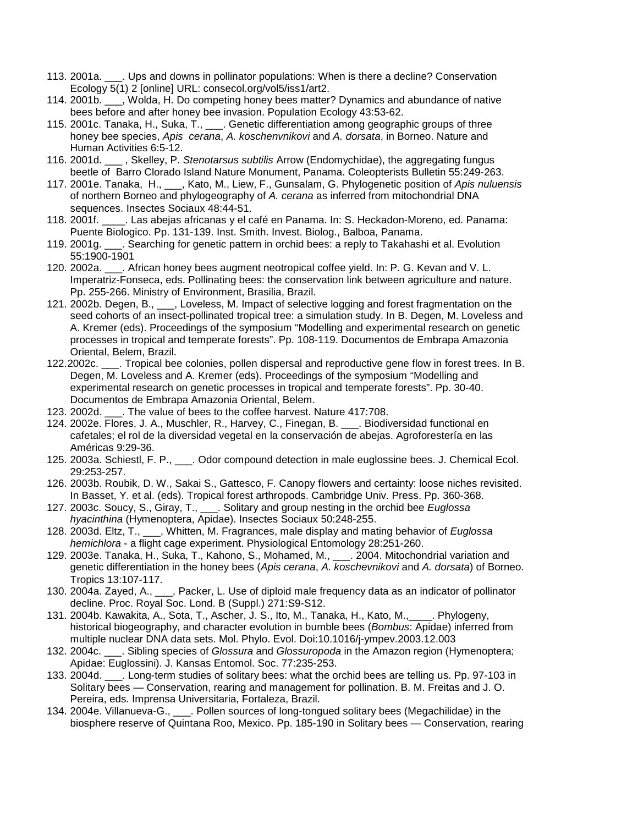- 113. 2001a. \_\_\_. Ups and downs in pollinator populations: When is there a decline? Conservation Ecology 5(1) 2 [online] URL: consecol.org/vol5/iss1/art2.
- 114. 2001b. \_\_\_, Wolda, H. Do competing honey bees matter? Dynamics and abundance of native bees before and after honey bee invasion. Population Ecology 43:53-62.
- 115. 2001c. Tanaka, H., Suka, T., \_\_\_. Genetic differentiation among geographic groups of three honey bee species, *Apis cerana*, *A. koschenvnikovi* and *A. dorsata*, in Borneo. Nature and Human Activities 6:5-12.
- 116. 2001d. \_\_\_ , Skelley, P. *Stenotarsus subtilis* Arrow (Endomychidae), the aggregating fungus beetle of Barro Clorado Island Nature Monument, Panama. Coleopterists Bulletin 55:249-263.
- 117. 2001e. Tanaka, H., \_\_\_, Kato, M., Liew, F., Gunsalam, G. Phylogenetic position of *Apis nuluensis* of northern Borneo and phylogeography of *A. cerana* as inferred from mitochondrial DNA sequences. Insectes Sociaux 48:44-51.
- 118. 2001f. \_\_\_\_. Las abejas africanas y el café en Panama. In: S. Heckadon-Moreno, ed. Panama: Puente Biologico. Pp. 131-139. Inst. Smith. Invest. Biolog., Balboa, Panama.
- 119. 2001g. \_\_\_. Searching for genetic pattern in orchid bees: a reply to Takahashi et al. Evolution 55:1900-1901
- 120. 2002a. \_\_\_. African honey bees augment neotropical coffee yield. In: P. G. Kevan and V. L. Imperatriz-Fonseca, eds. Pollinating bees: the conservation link between agriculture and nature. Pp. 255-266. Ministry of Environment, Brasilia, Brazil.
- 121. 2002b. Degen, B., \_\_\_, Loveless, M. Impact of selective logging and forest fragmentation on the seed cohorts of an insect-pollinated tropical tree: a simulation study. In B. Degen, M. Loveless and A. Kremer (eds). Proceedings of the symposium "Modelling and experimental research on genetic processes in tropical and temperate forests". Pp. 108-119. Documentos de Embrapa Amazonia Oriental, Belem, Brazil.
- 122.2002c. \_\_\_. Tropical bee colonies, pollen dispersal and reproductive gene flow in forest trees. In B. Degen, M. Loveless and A. Kremer (eds). Proceedings of the symposium "Modelling and experimental research on genetic processes in tropical and temperate forests". Pp. 30-40. Documentos de Embrapa Amazonia Oriental, Belem.
- 123. 2002d. \_\_\_. The value of bees to the coffee harvest. Nature 417:708.
- 124. 2002e. Flores, J. A., Muschler, R., Harvey, C., Finegan, B. \_\_\_. Biodiversidad functional en cafetales; el rol de la diversidad vegetal en la conservación de abejas. Agroforestería en las Américas 9:29-36.
- 125. 2003a. Schiestl, F. P., \_\_\_. Odor compound detection in male euglossine bees. J. Chemical Ecol. 29:253-257.
- 126. 2003b. Roubik, D. W., Sakai S., Gattesco, F. Canopy flowers and certainty: loose niches revisited. In Basset, Y. et al. (eds). Tropical forest arthropods. Cambridge Univ. Press. Pp. 360-368.
- 127. 2003c. Soucy, S., Giray, T., \_\_\_. Solitary and group nesting in the orchid bee *Euglossa hyacinthina* (Hymenoptera, Apidae). Insectes Sociaux 50:248-255.
- 128. 2003d. Eltz, T., \_\_\_, Whitten, M. Fragrances, male display and mating behavior of *Euglossa hemichlora* - a flight cage experiment. Physiological Entomology 28:251-260.
- 129. 2003e. Tanaka, H., Suka, T., Kahono, S., Mohamed, M., \_\_\_. 2004. Mitochondrial variation and genetic differentiation in the honey bees (*Apis cerana*, *A. koschevnikovi* and *A. dorsata*) of Borneo. Tropics 13:107-117.
- 130. 2004a. Zayed, A., \_\_\_, Packer, L. Use of diploid male frequency data as an indicator of pollinator decline. Proc. Royal Soc. Lond. B (Suppl.) 271:S9-S12.
- 131. 2004b. Kawakita, A., Sota, T., Ascher, J. S., Ito, M., Tanaka, H., Kato, M.,\_\_\_\_. Phylogeny, historical biogeography, and character evolution in bumble bees (*Bombus*: Apidae) inferred from multiple nuclear DNA data sets. Mol. Phylo. Evol. Doi:10.1016/j-ympev.2003.12.003
- 132. 2004c. \_\_\_. Sibling species of *Glossura* and *Glossuropoda* in the Amazon region (Hymenoptera; Apidae: Euglossini). J. Kansas Entomol. Soc. 77:235-253.
- 133. 2004d. \_\_\_. Long-term studies of solitary bees: what the orchid bees are telling us. Pp. 97-103 in Solitary bees — Conservation, rearing and management for pollination. B. M. Freitas and J. O. Pereira, eds. Imprensa Universitaria, Fortaleza, Brazil.
- 134. 2004e. Villanueva-G., \_\_\_. Pollen sources of long-tongued solitary bees (Megachilidae) in the biosphere reserve of Quintana Roo, Mexico. Pp. 185-190 in Solitary bees — Conservation, rearing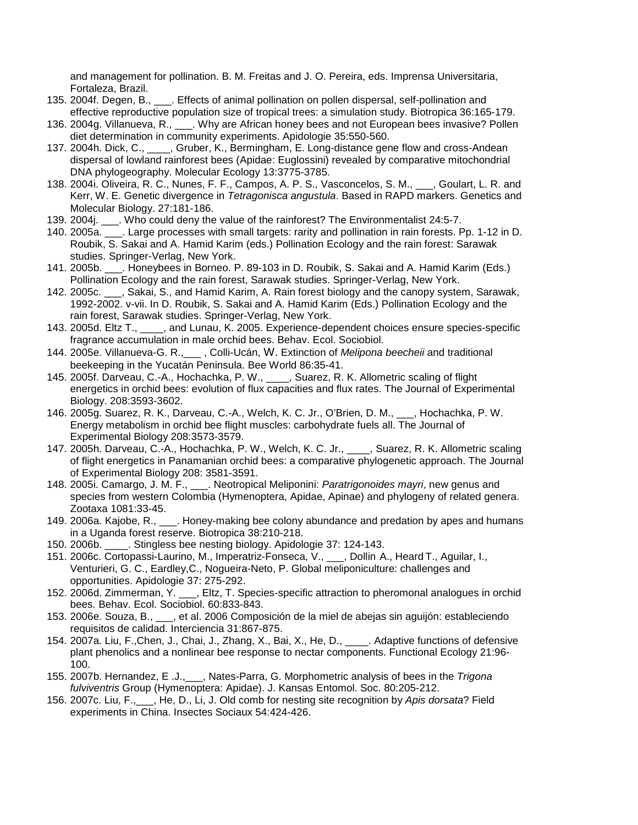and management for pollination. B. M. Freitas and J. O. Pereira, eds. Imprensa Universitaria, Fortaleza, Brazil.

- 135. 2004f. Degen, B., \_\_\_. Effects of animal pollination on pollen dispersal, self-pollination and effective reproductive population size of tropical trees: a simulation study. Biotropica 36:165-179.
- 136. 2004g. Villanueva, R., \_\_\_. Why are African honey bees and not European bees invasive? Pollen diet determination in community experiments. Apidologie 35:550-560.
- 137. 2004h. Dick, C., \_\_\_\_, Gruber, K., Bermingham, E. Long-distance gene flow and cross-Andean dispersal of lowland rainforest bees (Apidae: Euglossini) revealed by comparative mitochondrial DNA phylogeography. Molecular Ecology 13:3775-3785.
- 138. 2004i. Oliveira, R. C., Nunes, F. F., Campos, A. P. S., Vasconcelos, S. M., \_\_\_, Goulart, L. R. and Kerr, W. E. Genetic divergence in *Tetragonisca angustula*. Based in RAPD markers. Genetics and Molecular Biology. 27:181-186.
- 139. 2004j. \_\_\_. Who could deny the value of the rainforest? The Environmentalist 24:5-7.
- 140. 2005a. \_\_\_. Large processes with small targets: rarity and pollination in rain forests. Pp. 1-12 in D. Roubik, S. Sakai and A. Hamid Karim (eds.) Pollination Ecology and the rain forest: Sarawak studies. Springer-Verlag, New York.
- 141. 2005b. \_\_\_. Honeybees in Borneo. P. 89-103 in D. Roubik, S. Sakai and A. Hamid Karim (Eds.) Pollination Ecology and the rain forest, Sarawak studies. Springer-Verlag, New York.
- 142. 2005c. \_\_\_, Sakai, S., and Hamid Karim, A. Rain forest biology and the canopy system, Sarawak, 1992-2002. v-vii. In D. Roubik, S. Sakai and A. Hamid Karim (Eds.) Pollination Ecology and the rain forest, Sarawak studies. Springer-Verlag, New York.
- 143. 2005d. Eltz T., \_\_\_\_, and Lunau, K. 2005. Experience-dependent choices ensure species-specific fragrance accumulation in male orchid bees. Behav. Ecol. Sociobiol.
- 144. 2005e. Villanueva-G. R.,\_\_\_ , Colli-Ucán, W. Extinction of *Melipona beecheii* and traditional beekeeping in the Yucatán Peninsula. Bee World 86:35-41.
- 145. 2005f. Darveau, C.-A., Hochachka, P. W., \_\_\_\_, Suarez, R. K. Allometric scaling of flight energetics in orchid bees: evolution of flux capacities and flux rates. The Journal of Experimental Biology. 208:3593-3602.
- 146. 2005g. Suarez, R. K., Darveau, C.-A., Welch, K. C. Jr., O'Brien, D. M., \_\_\_, Hochachka, P. W. Energy metabolism in orchid bee flight muscles: carbohydrate fuels all. The Journal of Experimental Biology 208:3573-3579.
- 147. 2005h. Darveau, C.-A., Hochachka, P. W., Welch, K. C. Jr., \_\_\_\_, Suarez, R. K. Allometric scaling of flight energetics in Panamanian orchid bees: a comparative phylogenetic approach. The Journal of Experimental Biology 208: 3581-3591.
- 148. 2005i. Camargo, J. M. F., \_\_\_. Neotropical Meliponini: *Paratrigonoides mayri*, new genus and species from western Colombia (Hymenoptera, Apidae, Apinae) and phylogeny of related genera. Zootaxa 1081:33-45.
- 149. 2006a. Kajobe, R., \_\_\_. Honey-making bee colony abundance and predation by apes and humans in a Uganda forest reserve. Biotropica 38:210-218.
- 150. 2006b. \_\_\_\_. Stingless bee nesting biology. Apidologie 37: 124-143.
- 151. 2006c. Cortopassi-Laurino, M., Imperatriz-Fonseca, V., \_\_\_, Dollin A., Heard T., Aguilar, I., Venturieri, G. C., Eardley,C., Nogueira-Neto, P. Global meliponiculture: challenges and opportunities. Apidologie 37: 275-292.
- 152. 2006d. Zimmerman, Y. \_\_\_, Eltz, T. Species-specific attraction to pheromonal analogues in orchid bees. Behav. Ecol. Sociobiol. 60:833-843.
- 153. 2006e. Souza, B., \_\_\_, et al. 2006 Composición de la miel de abejas sin aguijón: estableciendo requisitos de calidad. Interciencia 31:867-875.
- 154. 2007a. Liu, F.,Chen, J., Chai, J., Zhang, X., Bai, X., He, D., \_\_\_\_. Adaptive functions of defensive plant phenolics and a nonlinear bee response to nectar components. Functional Ecology 21:96- 100.
- 155. 2007b. Hernandez, E .J.,\_\_\_, Nates-Parra, G. Morphometric analysis of bees in the *Trigona fulviventris* Group (Hymenoptera: Apidae). J. Kansas Entomol. Soc. 80:205-212.
- 156. 2007c. Liu, F.,\_\_\_, He, D., Li, J. Old comb for nesting site recognition by *Apis dorsata*? Field experiments in China. Insectes Sociaux 54:424-426.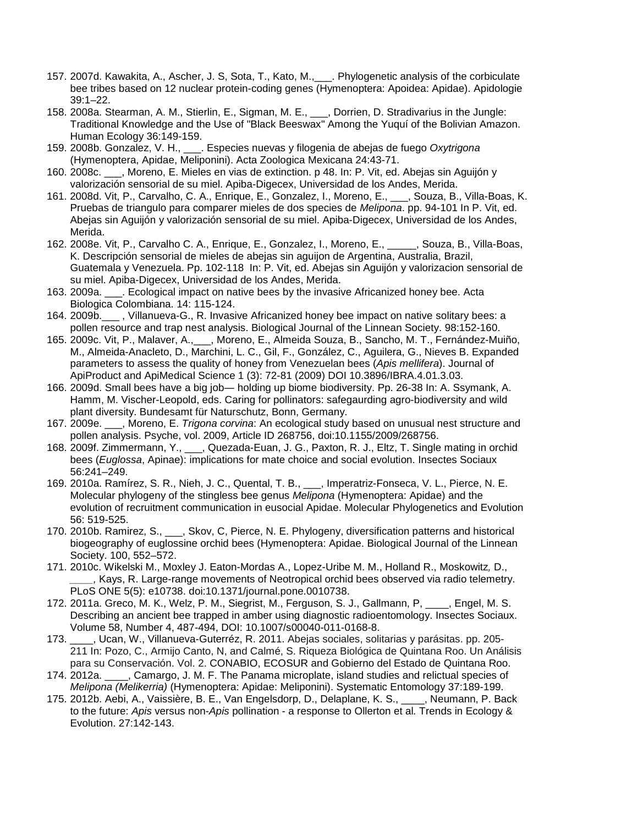- 157. 2007d. Kawakita, A., Ascher, J. S, Sota, T., Kato, M.,\_\_\_. Phylogenetic analysis of the corbiculate bee tribes based on 12 nuclear protein-coding genes (Hymenoptera: Apoidea: Apidae). Apidologie 39:1–22.
- 158. 2008a. Stearman, A. M., Stierlin, E., Sigman, M. E., \_\_\_, Dorrien, D. Stradivarius in the Jungle: Traditional Knowledge and the Use of "Black Beeswax" Among the Yuquí of the Bolivian Amazon. Human Ecology 36:149-159.
- 159. 2008b. Gonzalez, V. H., \_\_\_. Especies nuevas y filogenia de abejas de fuego *Oxytrigona* (Hymenoptera, Apidae, Meliponini). Acta Zoologica Mexicana 24:43-71.
- 160. 2008c. \_\_\_, Moreno, E. Mieles en vias de extinction. p 48. In: P. Vit, ed. Abejas sin Aguijón y valorización sensorial de su miel. Apiba-Digecex, Universidad de los Andes, Merida.
- 161. 2008d. Vit, P., Carvalho, C. A., Enrique, E., Gonzalez, I., Moreno, E., \_\_\_, Souza, B., Villa-Boas, K. Pruebas de triangulo para comparer mieles de dos species de *Melipona*. pp. 94-101 In P. Vit, ed. Abejas sin Aguijón y valorización sensorial de su miel. Apiba-Digecex, Universidad de los Andes, Merida.
- 162. 2008e. Vit, P., Carvalho C. A., Enrique, E., Gonzalez, I., Moreno, E., \_\_\_\_\_, Souza, B., Villa-Boas, K. Descripción sensorial de mieles de abejas sin aguijon de Argentina, Australia, Brazil, Guatemala y Venezuela. Pp. 102-118 In: P. Vit, ed. Abejas sin Aguijón y valorizacion sensorial de su miel. Apiba-Digecex, Universidad de los Andes, Merida.
- 163. 2009a. \_\_\_. Ecological impact on native bees by the invasive Africanized honey bee. Acta Biologica Colombiana. 14: 115-124.
- 164. 2009b.\_\_\_ , Villanueva-G., R. Invasive Africanized honey bee impact on native solitary bees: a pollen resource and trap nest analysis. Biological Journal of the Linnean Society. 98:152-160.
- 165. 2009c. Vit, P., Malaver, A.,\_\_\_, Moreno, E., Almeida Souza, B., Sancho, M. T., Fernández-Muiño, M., Almeida-Anacleto, D., Marchini, L. C., Gil, F., González, C., Aguilera, G., Nieves B. Expanded parameters to assess the quality of honey from Venezuelan bees (*Apis mellifera*). Journal of ApiProduct and ApiMedical Science 1 (3): 72-81 (2009) DOI 10.3896/IBRA.4.01.3.03.
- 166. 2009d. Small bees have a big job― holding up biome biodiversity. Pp. 26-38 In: A. Ssymank, A. Hamm, M. Vischer-Leopold, eds. Caring for pollinators: safegaurding agro-biodiversity and wild plant diversity. Bundesamt für Naturschutz, Bonn, Germany.
- 167. 2009e. \_\_\_, Moreno, E. *Trigona corvina*: An ecological study based on unusual nest structure and pollen analysis. Psyche, vol. 2009, Article ID 268756, doi:10.1155/2009/268756.
- 168. 2009f. Zimmermann, Y., \_\_\_, Quezada-Euan, J. G., Paxton, R. J., Eltz, T. Single mating in orchid bees (*Euglossa*, Apinae): implications for mate choice and social evolution. Insectes Sociaux 56:241–249.
- 169. 2010a. Ramírez, S. R., Nieh, J. C., Quental, T. B., \_\_\_, Imperatriz-Fonseca, V. L., Pierce, N. E. Molecular phylogeny of the stingless bee genus *Melipona* (Hymenoptera: Apidae) and the evolution of recruitment communication in eusocial Apidae. Molecular Phylogenetics and Evolution 56: 519-525.
- 170. 2010b. Ramirez, S., \_\_\_, Skov, C, Pierce, N. E. Phylogeny, diversification patterns and historical biogeography of euglossine orchid bees (Hymenoptera: Apidae. Biological Journal of the Linnean Society. 100, 552–572.
- 171. 2010c. Wikelski M., Moxley J. Eaton-Mordas A., Lopez-Uribe M. M., Holland R., Moskowitz*,* D., Kays, R. Large-range movements of Neotropical orchid bees observed via radio telemetry. PLoS ONE 5(5): e10738. doi:10.1371/journal.pone.0010738.
- 172. 2011a. Greco, M. K., Welz, P. M., Siegrist, M., Ferguson, S. J., Gallmann, P, \_\_\_\_, Engel, M. S. Describing an ancient bee trapped in amber using diagnostic radioentomology. Insectes Sociaux. Volume 58, Number 4, 487-494, DOI: 10.1007/s00040-011-0168-8.
- 173. \_\_\_\_, Ucan, W., Villanueva-Guterréz, R. 2011. Abejas sociales, solitarias y parásitas. pp. 205- 211 In: Pozo, C., Armijo Canto, N, and Calmé, S. Riqueza Biológica de Quintana Roo. Un Análisis para su Conservación. Vol. 2. CONABIO, ECOSUR and Gobierno del Estado de Quintana Roo.
- 174. 2012a. \_\_\_\_, Camargo, J. M. F. The Panama microplate, island studies and relictual species of *Melipona (Melikerria)* (Hymenoptera: Apidae: Meliponini). Systematic Entomology 37:189-199.
- 175. 2012b. Aebi, A., Vaissière, B. E., Van Engelsdorp, D., Delaplane, K. S., \_\_\_\_, Neumann, P. Back to the future: *Apis* versus non-*Apis* pollination - a response to Ollerton et al*.* Trends in Ecology & Evolution. 27:142-143.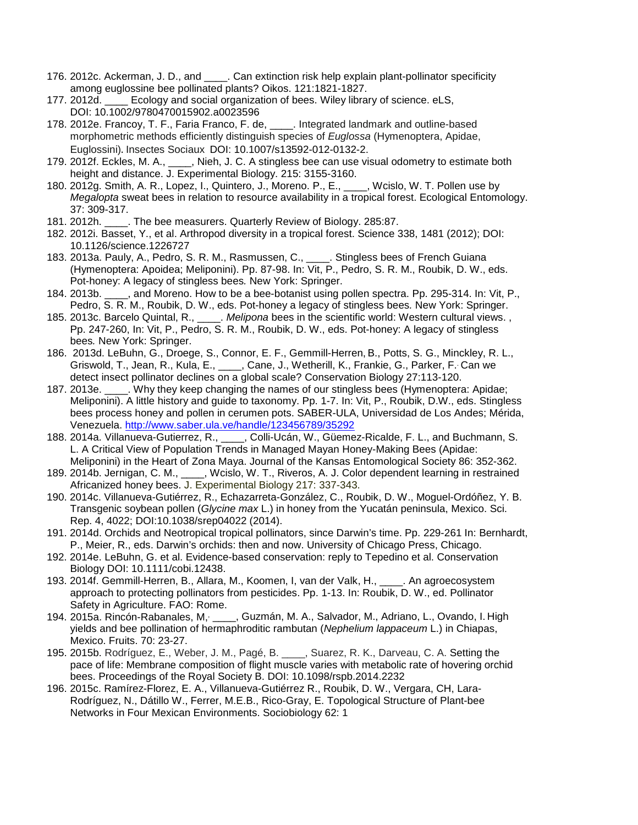- 176. 2012c. Ackerman, J. D., and \_\_\_\_. Can extinction risk help explain plant-pollinator specificity among euglossine bee pollinated plants? Oikos. 121:1821-1827.
- 177. 2012d. \_\_\_\_ Ecology and social organization of bees. Wiley library of science. eLS, DOI: 10.1002/9780470015902.a0023596
- 178. 2012e. Francoy, T. F., Faria Franco, F. de, \_\_\_\_. Integrated landmark and outline-based morphometric methods efficiently distinguish species of *Euglossa* (Hymenoptera, Apidae, Euglossini). Insectes Sociaux DOI: 10.1007/s13592-012-0132-2.
- 179. 2012f. Eckles, M. A., \_\_\_\_, Nieh, J. C. A stingless bee can use visual odometry to estimate both height and distance. J. Experimental Biology. 215: 3155-3160.
- 180. 2012g. Smith, A. R., Lopez, I., Quintero, J., Moreno. P., E., \_\_\_\_, Wcislo, W. T. Pollen use by *Megalopta* sweat bees in relation to resource availability in a tropical forest. Ecological Entomology. 37: 309-317.
- 181. 2012h. \_\_\_\_. The bee measurers. Quarterly Review of Biology. 285:87.
- 182. 2012i. Basset, Y., et al. Arthropod diversity in a tropical forest. Science 338, 1481 (2012); DOI: 10.1126/science.1226727
- 183. 2013a. Pauly, A., Pedro, S. R. M., Rasmussen, C., \_\_\_\_. Stingless bees of French Guiana (Hymenoptera: Apoidea; Meliponini). Pp. 87-98. In: Vit, P., Pedro, S. R. M., Roubik, D. W., eds. Pot-honey: A legacy of stingless bees*.* New York: Springer.
- 184. 2013b. \_\_\_\_, and Moreno. How to be a bee-botanist using pollen spectra. Pp. 295-314. In: Vit, P., Pedro, S. R. M., Roubik, D. W., eds. Pot-honey a legacy of stingless bees*.* New York: Springer.
- 185. 2013c. Barcelo Quintal, R., \_\_\_\_. *Melipona* bees in the scientific world: Western cultural views. , Pp. 247-260, In: Vit, P., Pedro, S. R. M., Roubik, D. W., eds. Pot-honey: A legacy of stingless bees*.* New York: Springer.
- 186. 2013d. LeBuhn, G., Droege, S., Connor, E. F., Gemmill-Herren, B., Potts, S. G., Minckley, R. L., Griswold, T., Jean, R., Kula, E., \_\_\_\_, Cane, J., Wetherill, K., Frankie, G., Parker, F.. Can we detect insect pollinator declines on a global scale? Conservation Biology 27:113-120.
- 187. 2013e. \_\_\_\_. Why they keep changing the names of our stingless bees (Hymenoptera: Apidae; Meliponini). A little history and guide to taxonomy. Pp. 1-7. In: Vit, P., Roubik, D.W., eds. Stingless bees process honey and pollen in cerumen pots. SABER-ULA, Universidad de Los Andes; Mérida, Venezuela.<http://www.saber.ula.ve/handle/123456789/35292>
- 188. 2014a. Villanueva-Gutierrez, R., \_\_\_\_, Colli-Ucán, W., Güemez-Ricalde, F. L., and Buchmann, S. L. A Critical View of Population Trends in Managed Mayan Honey-Making Bees (Apidae: Meliponini) in the Heart of Zona Maya. Journal of the Kansas Entomological Society 86: 352-362.
- 189. 2014b. Jernigan, C. M., \_\_\_\_, Wcislo, W. T., Riveros, A. J. Color dependent learning in restrained Africanized honey bees. J. Experimental Biology 217: 337-343.
- 190. 2014c. Villanueva-Gutiérrez, R., Echazarreta-González, C., Roubik, D. W., Moguel-Ordóñez, Y. B. Transgenic soybean pollen (*Glycine max* L.) in honey from the Yucatán peninsula, Mexico. Sci. Rep. 4, 4022; DOI:10.1038/srep04022 (2014).
- 191. 2014d. Orchids and Neotropical tropical pollinators, since Darwin's time. Pp. 229-261 In: Bernhardt, P., Meier, R., eds. Darwin's orchids: then and now. University of Chicago Press, Chicago.
- 192. 2014e. LeBuhn, G. et al. Evidence-based conservation: reply to Tepedino et al. Conservation Biology DOI: 10.1111/cobi.12438.
- 193. 2014f. Gemmill-Herren, B., Allara, M., Koomen, I, van der Valk, H., \_\_\_\_. An agroecosystem approach to protecting pollinators from pesticides. Pp. 1-13. In: Roubik, D. W., ed. Pollinator Safety in Agriculture. FAO: Rome.
- 194. 2015a. Rincón-Rabanales, M, ........., Guzmán, M. A., Salvador, M., Adriano, L., Ovando, I. High yields and bee pollination of hermaphroditic rambutan (*Nephelium lappaceum* L.) in Chiapas, Mexico. Fruits. 70: 23-27.
- 195. 2015b. Rodríguez, E., Weber, J. M., Pagé, B. \_\_\_\_, Suarez, R. K., Darveau, C. A. Setting the pace of life: Membrane composition of flight muscle varies with metabolic rate of hovering orchid bees. Proceedings of the Royal Society B. DOI: 10.1098/rspb.2014.2232
- 196. 2015c. Ramírez-Florez, E. A., Villanueva-Gutiérrez R., Roubik, D. W., Vergara, CH, Lara-Rodríguez, N., Dátillo W., Ferrer, M.E.B., Rico-Gray, E. Topological Structure of Plant-bee Networks in Four Mexican Environments. Sociobiology 62: 1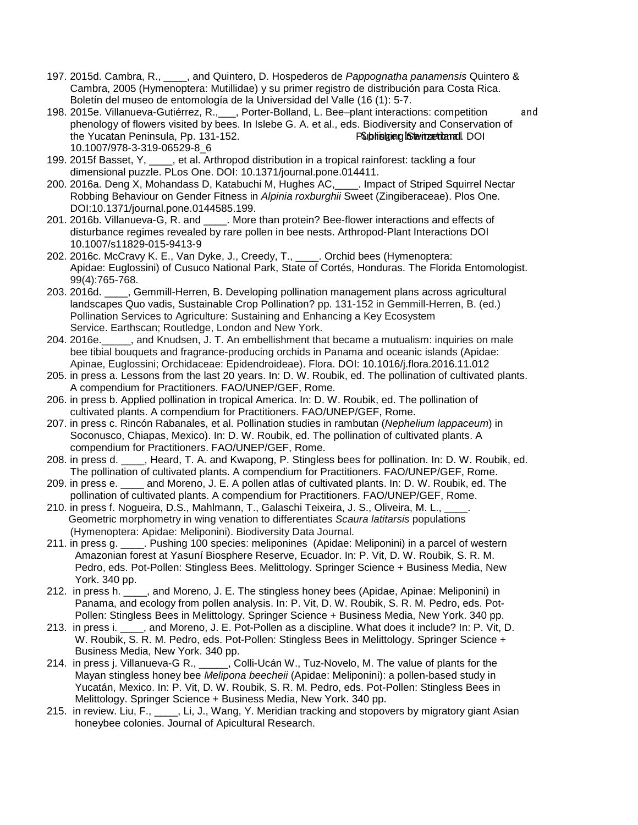- 197. 2015d. Cambra, R., \_\_\_\_, and Quintero, D. Hospederos de *Pappognatha panamensis* Quintero & Cambra, 2005 (Hymenoptera: Mutillidae) y su primer registro de distribución para Costa Rica. Boletín del museo de entomología de la Universidad del Valle (16 (1): 5-7.
- 198. 2015e. Villanueva-Gutiérrez, R., \_\_\_, Porter-Bolland, L. Bee-plant interactions: competition and phenology of flowers visited by bees. In Islebe G. A. et al., eds. Biodiversity and Conservation of the Yucatan Peninsula, Pp. 131-152. Publishing Supering Switzerland. DOI 10.1007/978-3-319-06529-8\_6
- 199. 2015f Basset, Y, \_\_\_\_, et al. Arthropod distribution in a tropical rainforest: tackling a four dimensional puzzle. PLos One. DOI: 10.1371/journal.pone.014411.
- 200. 2016a. Deng X, Mohandass D, Katabuchi M, Hughes AC,\_\_\_\_. Impact of Striped Squirrel Nectar Robbing Behaviour on Gender Fitness in *Alpinia roxburghii* Sweet (Zingiberaceae). Plos One. DOI:10.1371/journal.pone.0144585.199.
- 201. 2016b. Villanueva-G, R. and \_\_\_\_. More than protein? Bee-flower interactions and effects of disturbance regimes revealed by rare pollen in bee nests. Arthropod-Plant Interactions DOI 10.1007/s11829-015-9413-9
- 202. 2016c. McCravy K. E., Van Dyke, J., Creedy, T., \_\_\_\_. Orchid bees (Hymenoptera: Apidae: Euglossini) of Cusuco National Park, State of Cortés, Honduras. The Florida Entomologist. 99(4):765-768.
- 203. 2016d. \_\_\_\_, Gemmill-Herren, B. Developing pollination management plans across agricultural landscapes Quo vadis, Sustainable Crop Pollination? pp. 131-152 in Gemmill-Herren, B. (ed.) Pollination Services to Agriculture: Sustaining and Enhancing a Key Ecosystem Service. Earthscan; Routledge, London and New York.
- 204. 2016e.\_\_\_\_\_, and Knudsen, J. T. An embellishment that became a mutualism: inquiries on male bee tibial bouquets and fragrance-producing orchids in Panama and oceanic islands (Apidae: Apinae, Euglossini; Orchidaceae: Epidendroideae). Flora. DOI: 10.1016/j.flora.2016.11.012
- 205. in press a. Lessons from the last 20 years. In: D. W. Roubik, ed. The pollination of cultivated plants. A compendium for Practitioners. FAO/UNEP/GEF, Rome.
- 206. in press b. Applied pollination in tropical America. In: D. W. Roubik, ed. The pollination of cultivated plants. A compendium for Practitioners. FAO/UNEP/GEF, Rome.
- 207. in press c. Rincón Rabanales, et al. Pollination studies in rambutan (*Nephelium lappaceum*) in Soconusco, Chiapas, Mexico). In: D. W. Roubik, ed. The pollination of cultivated plants. A compendium for Practitioners. FAO/UNEP/GEF, Rome.
- 208. in press d. \_\_\_\_, Heard, T. A. and Kwapong, P. Stingless bees for pollination. In: D. W. Roubik, ed. The pollination of cultivated plants. A compendium for Practitioners. FAO/UNEP/GEF, Rome.
- 209. in press e. \_\_\_\_ and Moreno, J. E. A pollen atlas of cultivated plants. In: D. W. Roubik, ed. The pollination of cultivated plants. A compendium for Practitioners. FAO/UNEP/GEF, Rome.
- 210. in press f. Nogueira, D.S., Mahlmann, T., [Galaschi Teixeira,](http://lattes.cnpq.br/1670627413732368) J. S., Oliveira, M. L., \_\_\_\_. Geometric morphometry in wing venation to differentiates *Scaura latitarsis* populations (Hymenoptera: Apidae: Meliponini). Biodiversity Data Journal.
- 211. in press g. \_\_\_\_. Pushing 100 species: meliponines (Apidae: Meliponini) in a parcel of western Amazonian forest at Yasuní Biosphere Reserve, Ecuador. In: P. Vit, D. W. Roubik, S. R. M. Pedro, eds. Pot-Pollen: Stingless Bees. Melittology. Springer Science + Business Media, New York. 340 pp.
- 212. in press h. \_\_\_\_, and Moreno, J. E. The stingless honey bees (Apidae, Apinae: Meliponini) in Panama, and ecology from pollen analysis. In: P. Vit, D. W. Roubik, S. R. M. Pedro, eds. Pot-Pollen: Stingless Bees in Melittology. Springer Science + Business Media, New York. 340 pp.
- 213. in press i. \_\_\_\_, and Moreno, J. E. Pot-Pollen as a discipline. What does it include? In: P. Vit, D. W. Roubik, S. R. M. Pedro, eds. Pot-Pollen: Stingless Bees in Melittology. Springer Science + Business Media, New York. 340 pp.
- 214. in press j. Villanueva-G R., \_\_\_\_\_, Colli-Ucán W., Tuz-Novelo, M. The value of plants for the Mayan stingless honey bee *Melipona beecheii* (Apidae: Meliponini): a pollen-based study in Yucatán, Mexico. In: P. Vit, D. W. Roubik, S. R. M. Pedro, eds. Pot-Pollen: Stingless Bees in Melittology. Springer Science + Business Media, New York. 340 pp.
- 215. in review. Liu, F., \_\_\_\_, Li, J., Wang, Y. Meridian tracking and stopovers by migratory giant Asian honeybee colonies. Journal of Apicultural Research.